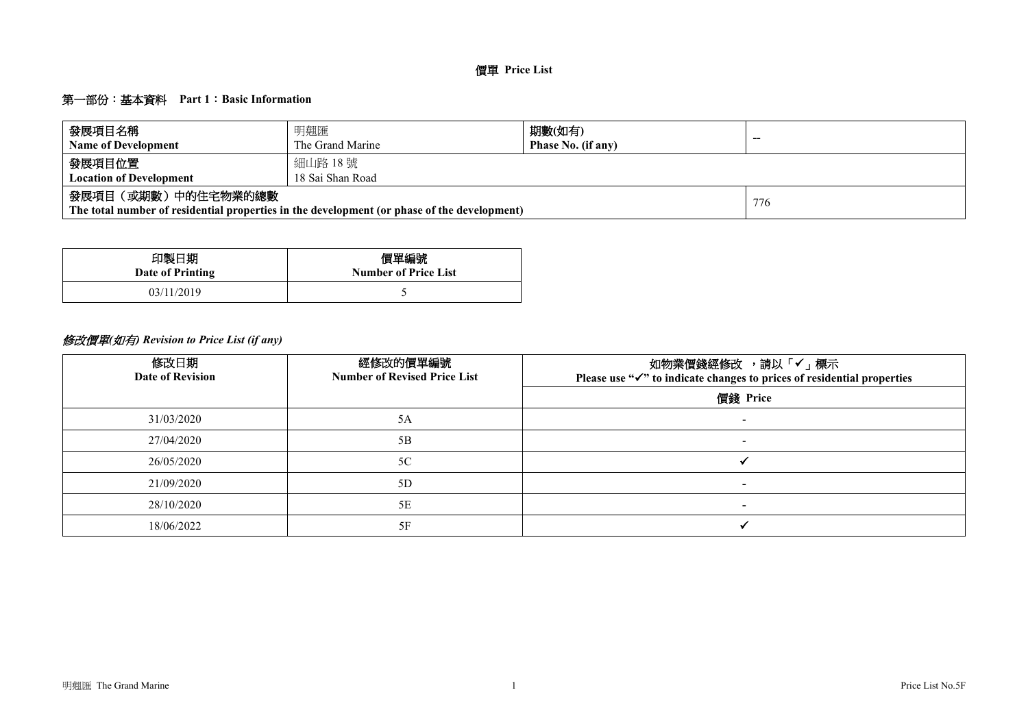### 第一部份:基本資料 **Part 1**:**Basic Information**

| 發展項目名稱<br><b>Name of Development</b>     | 明翹匯<br>The Grand Marine                                                                     | 期數(如有)<br>Phase No. (if any) | $-$ |  |  |  |  |  |  |  |  |  |
|------------------------------------------|---------------------------------------------------------------------------------------------|------------------------------|-----|--|--|--|--|--|--|--|--|--|
| 發展項目位置<br><b>Location of Development</b> | 細山路 18號<br>18 Sai Shan Road                                                                 |                              |     |  |  |  |  |  |  |  |  |  |
| 發展項目(或期數)中的住宅物業的總數                       | The total number of residential properties in the development (or phase of the development) |                              | 776 |  |  |  |  |  |  |  |  |  |

| 印製日期             | 價單編號                        |
|------------------|-----------------------------|
| Date of Printing | <b>Number of Price List</b> |
| 03/11/2019       |                             |

# 修改價單*(*如有*) Revision to Price List (if any)*

| 修改日期<br><b>Date of Revision</b> | 經修改的價單編號<br><b>Number of Revised Price List</b> | 如物業價錢經修改 ,請以「✔」標示<br>Please use " $\checkmark$ " to indicate changes to prices of residential properties |
|---------------------------------|-------------------------------------------------|----------------------------------------------------------------------------------------------------------|
|                                 |                                                 | 價錢 Price                                                                                                 |
| 31/03/2020                      | 5A                                              |                                                                                                          |
| 27/04/2020                      | 5B                                              | $\overline{\phantom{0}}$                                                                                 |
| 26/05/2020                      | 5C                                              |                                                                                                          |
| 21/09/2020                      | 5D                                              | $\overline{\phantom{0}}$                                                                                 |
| 28/10/2020                      | 5E                                              |                                                                                                          |
| 18/06/2022                      | 5F                                              |                                                                                                          |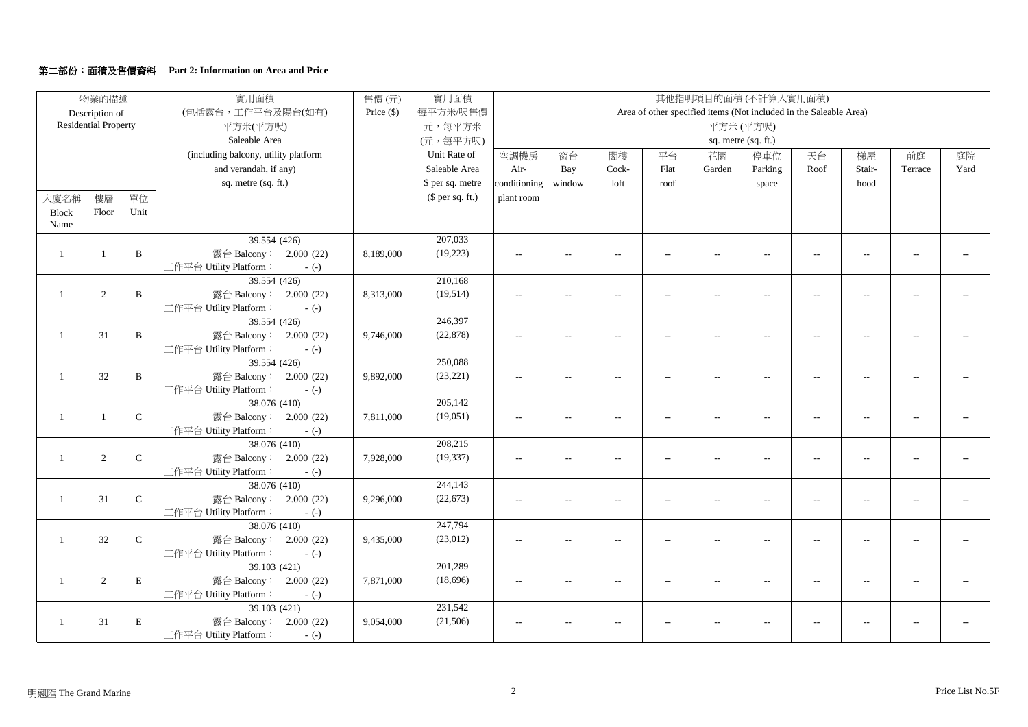#### 第二部份:面積及售價資料 **Part 2: Information on Area and Price**

|                | 物業的描述                       |              | 實用面積                                             | 售價(元)        | 實用面積             |                          |                          |                          |                   | 其他指明項目的面積(不計算入實用面積)      |                          |                                                                   |                          |                             |                |
|----------------|-----------------------------|--------------|--------------------------------------------------|--------------|------------------|--------------------------|--------------------------|--------------------------|-------------------|--------------------------|--------------------------|-------------------------------------------------------------------|--------------------------|-----------------------------|----------------|
|                | Description of              |              | (包括露台,工作平台及陽台(如有)                                | Price $(\$)$ | 每平方米/呎售價         |                          |                          |                          |                   |                          |                          | Area of other specified items (Not included in the Saleable Area) |                          |                             |                |
|                | <b>Residential Property</b> |              | 平方米(平方呎)                                         |              | 元,每平方米           |                          |                          |                          |                   |                          | 平方米(平方呎)                 |                                                                   |                          |                             |                |
|                |                             |              | Saleable Area                                    |              | (元,每平方呎)         |                          |                          |                          |                   |                          | sq. metre (sq. ft.)      |                                                                   |                          |                             |                |
|                |                             |              | (including balcony, utility platform             |              | Unit Rate of     | 空調機房                     | 窗台                       | 閣樓                       | 平台                | 花園                       | 停車位                      | 天台                                                                | 梯屋                       | 前庭                          | 庭院             |
|                |                             |              | and verandah, if any)                            |              | Saleable Area    | Air-                     | Bay                      | Cock-                    | Flat              | Garden                   | Parking                  | Roof                                                              | Stair-                   | Terrace                     | Yard           |
|                |                             |              | sq. metre (sq. ft.)                              |              | \$ per sq. metre | conditioning             | window                   | loft                     | roof              |                          | space                    |                                                                   | hood                     |                             |                |
| 大廈名稱           | 樓層                          | 單位           |                                                  |              | (\$ per sq. ft.) | plant room               |                          |                          |                   |                          |                          |                                                                   |                          |                             |                |
| <b>Block</b>   | Floor                       | Unit         |                                                  |              |                  |                          |                          |                          |                   |                          |                          |                                                                   |                          |                             |                |
| Name           |                             |              |                                                  |              |                  |                          |                          |                          |                   |                          |                          |                                                                   |                          |                             |                |
|                |                             |              | 39.554 (426)                                     |              | 207,033          |                          |                          |                          |                   |                          |                          |                                                                   |                          |                             |                |
| -1             | $\overline{1}$              | $\, {\bf B}$ | 露台 Balcony: 2.000 (22)                           | 8,189,000    | (19,223)         | $\overline{a}$           | $\frac{1}{2}$            | $\sim$                   | $\overline{a}$    | $\overline{a}$           | $-$                      | $\sim$                                                            | $\overline{a}$           | $\overline{a}$              |                |
|                |                             |              | 工作平台 Utility Platform:<br>$-(-)$                 |              |                  |                          |                          |                          |                   |                          |                          |                                                                   |                          |                             |                |
|                |                             |              | 39.554(426)                                      |              | 210,168          |                          |                          |                          |                   |                          |                          |                                                                   |                          |                             |                |
| $\overline{1}$ | 2                           | $\, {\bf B}$ | 露台 Balcony: 2.000 (22)                           | 8,313,000    | (19, 514)        | $\overline{\phantom{a}}$ | $\sim$                   | $\sim$                   | $\overline{a}$    | $\overline{a}$           | $\sim$                   | $\sim$                                                            | $\overline{a}$           |                             |                |
|                |                             |              | 工作平台 Utility Platform:<br>$-(-)$                 |              |                  |                          |                          |                          |                   |                          |                          |                                                                   |                          |                             |                |
|                |                             |              | 39.554 (426)                                     |              | 246,397          |                          |                          |                          |                   |                          |                          |                                                                   |                          |                             |                |
| -1             | 31                          | $\, {\bf B}$ | 露台 Balcony: 2.000 (22)                           | 9,746,000    | (22, 878)        | $\sim$ $\sim$            | $\frac{1}{2}$            | $\sim$                   | $\overline{a}$    | $\sim$                   | $\overline{a}$           | $\overline{a}$                                                    | $\overline{a}$           | $\sim$                      |                |
|                |                             |              | 工作平台 Utility Platform:<br>$-(-)$                 |              |                  |                          |                          |                          |                   |                          |                          |                                                                   |                          |                             |                |
|                |                             |              | 39.554 (426)                                     |              | 250,088          |                          |                          |                          |                   |                          |                          |                                                                   |                          |                             |                |
| $\mathbf{1}$   | 32                          | $\, {\bf B}$ | 露台 Balcony: 2.000 (22)                           | 9,892,000    | (23, 221)        | $\overline{a}$           | $\overline{\phantom{a}}$ | $\overline{\phantom{a}}$ | $\qquad \qquad -$ | $\overline{\phantom{a}}$ | $\overline{\phantom{a}}$ | $\overline{\phantom{a}}$                                          | $\overline{\phantom{a}}$ | $\sim$                      |                |
|                |                             |              | 工作平台 Utility Platform:<br>$-(-)$<br>38.076 (410) |              | 205,142          |                          |                          |                          |                   |                          |                          |                                                                   |                          |                             |                |
| $\overline{1}$ |                             | ${\bf C}$    | 露台 Balcony: 2.000 (22)                           | 7,811,000    | (19,051)         |                          |                          |                          |                   |                          |                          |                                                                   | $\overline{\phantom{a}}$ | $\mathcal{L}_{\mathcal{A}}$ | $\sim$         |
|                |                             |              | 工作平台 Utility Platform:                           |              |                  | $\overline{\phantom{a}}$ | $\qquad \qquad -$        | $\overline{\phantom{a}}$ | $\overline{a}$    | $\overline{a}$           | $\overline{a}$           | $\overline{a}$                                                    |                          |                             |                |
|                |                             |              | $-(-)$<br>38.076 (410)                           |              | 208,215          |                          |                          |                          |                   |                          |                          |                                                                   |                          |                             |                |
| $\mathbf{1}$   | 2                           | $\mathsf C$  | 露台 Balcony: 2.000 (22)                           | 7,928,000    | (19, 337)        | $\overline{\phantom{a}}$ |                          | $\sim$                   | $\overline{a}$    | $\overline{a}$           | $\overline{a}$           | $\sim$                                                            |                          |                             |                |
|                |                             |              | 工作平台 Utility Platform:<br>$-(-)$                 |              |                  |                          |                          |                          |                   |                          |                          |                                                                   |                          |                             |                |
|                |                             |              | 38.076 (410)                                     |              | 244,143          |                          |                          |                          |                   |                          |                          |                                                                   |                          |                             |                |
| $\mathbf{1}$   | 31                          | $\mathsf C$  | 露台 Balcony: 2.000 (22)                           | 9,296,000    | (22, 673)        | $\overline{a}$           | $\qquad \qquad -$        | $\overline{\phantom{a}}$ | $\overline{a}$    | $\overline{a}$           | $\overline{a}$           | $\overline{\phantom{a}}$                                          | $\overline{a}$           | $\sim$ $\sim$               | $\overline{a}$ |
|                |                             |              | 工作平台 Utility Platform:<br>$-(-)$                 |              |                  |                          |                          |                          |                   |                          |                          |                                                                   |                          |                             |                |
|                |                             |              | 38.076 (410)                                     |              | 247,794          |                          |                          |                          |                   |                          |                          |                                                                   |                          |                             |                |
| $\mathbf{1}$   | 32                          | $\mathsf{C}$ | 露台 Balcony: 2.000 (22)                           | 9,435,000    | (23,012)         | $\sim$ $\sim$            | $\qquad \qquad -$        | $\overline{\phantom{a}}$ | $\overline{a}$    | $\overline{a}$           | $-$                      | $\overline{a}$                                                    | $\overline{a}$           |                             |                |
|                |                             |              | 工作平台 Utility Platform:<br>$-(-)$                 |              |                  |                          |                          |                          |                   |                          |                          |                                                                   |                          |                             |                |
|                |                             |              | 39.103 (421)                                     |              | 201,289          |                          |                          |                          |                   |                          |                          |                                                                   |                          |                             |                |
| $\mathbf{1}$   | 2                           | $\mathbf E$  | 露台 Balcony: 2.000 (22)                           | 7,871,000    | (18,696)         | $\sim$ $\sim$            | $\overline{a}$           | $\sim$                   | $\overline{a}$    | $\sim$                   | $\sim$ $\sim$            | $\overline{a}$                                                    | $\sim$                   | $\sim$                      |                |
|                |                             |              | 工作平台 Utility Platform:<br>$-(-)$                 |              |                  |                          |                          |                          |                   |                          |                          |                                                                   |                          |                             |                |
|                |                             |              | 39.103 (421)                                     |              | 231,542          |                          |                          |                          |                   |                          |                          |                                                                   |                          |                             |                |
| -1             | 31                          | $\mathbf E$  | 露台 Balcony: 2.000 (22)                           | 9,054,000    | (21, 506)        |                          |                          |                          |                   |                          |                          |                                                                   |                          |                             |                |
|                |                             |              | 工作平台 Utility Platform:<br>$-(-)$                 |              |                  |                          |                          |                          |                   |                          |                          |                                                                   |                          |                             |                |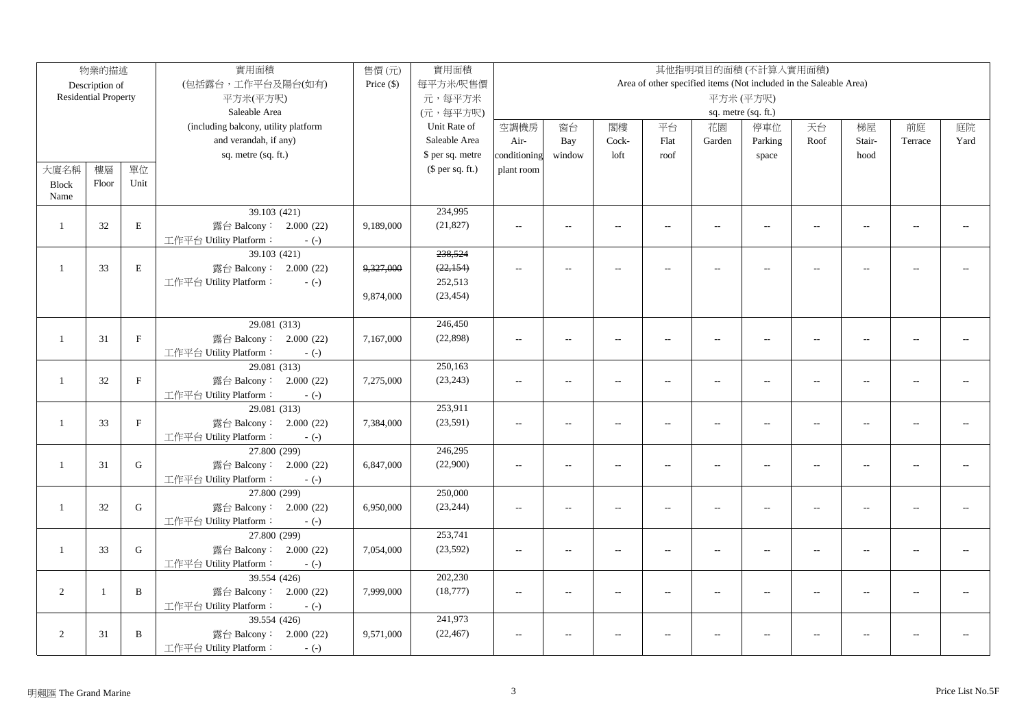|                | 物業的描述                       |              | 實用面積<br>實用面積<br>售價(元)<br>其他指明項目的面積(不計算入實用面積) |              |                  |                          |                |                          |                          |                          |                                                                   |                          |                |                |      |
|----------------|-----------------------------|--------------|----------------------------------------------|--------------|------------------|--------------------------|----------------|--------------------------|--------------------------|--------------------------|-------------------------------------------------------------------|--------------------------|----------------|----------------|------|
|                | Description of              |              | (包括露台,工作平台及陽台(如有)                            | Price $(\$)$ | 每平方米/呎售價         |                          |                |                          |                          |                          | Area of other specified items (Not included in the Saleable Area) |                          |                |                |      |
|                | <b>Residential Property</b> |              | 平方米(平方呎)                                     |              | 元,每平方米           |                          |                |                          |                          |                          | 平方米(平方呎)                                                          |                          |                |                |      |
|                |                             |              | Saleable Area                                |              | (元,每平方呎)         |                          |                |                          |                          |                          | sq. metre (sq. ft.)                                               |                          |                |                |      |
|                |                             |              | (including balcony, utility platform         |              | Unit Rate of     | 空調機房                     | 窗台             | 閣樓                       | 平台                       | 花園                       | 停車位                                                               | 天台                       | 梯屋             | 前庭             | 庭院   |
|                |                             |              | and verandah, if any)                        |              | Saleable Area    | Air-                     | Bay            | Cock-                    | Flat                     | Garden                   | Parking                                                           | Roof                     | Stair-         | Terrace        | Yard |
|                |                             |              | sq. metre (sq. ft.)                          |              | \$ per sq. metre | conditioning             | window         | loft                     | roof                     |                          | space                                                             |                          | hood           |                |      |
| 大廈名稱           | 樓層                          | 單位           |                                              |              | $$$ per sq. ft.) | plant room               |                |                          |                          |                          |                                                                   |                          |                |                |      |
| <b>Block</b>   | Floor                       | Unit         |                                              |              |                  |                          |                |                          |                          |                          |                                                                   |                          |                |                |      |
| Name           |                             |              |                                              |              |                  |                          |                |                          |                          |                          |                                                                   |                          |                |                |      |
|                |                             |              | 39.103 (421)                                 |              | 234,995          |                          |                |                          |                          |                          |                                                                   |                          |                |                |      |
| $\mathbf{1}$   | 32                          | $\mathbf E$  | 露台 Balcony: 2.000 (22)                       | 9,189,000    | (21, 827)        | $\overline{\phantom{a}}$ | $\overline{a}$ | $\sim$                   | $\overline{a}$           | $\overline{\phantom{a}}$ | $\overline{a}$                                                    | $\overline{\phantom{a}}$ | $\overline{a}$ | $\overline{a}$ |      |
|                |                             |              | 工作平台 Utility Platform:<br>$-(-)$             |              |                  |                          |                |                          |                          |                          |                                                                   |                          |                |                |      |
|                |                             |              | 39.103 (421)                                 |              | 238,524          |                          |                |                          |                          |                          |                                                                   |                          |                |                |      |
| $\mathbf{1}$   | 33                          | $\mathbf E$  | 露台 Balcony: 2.000 (22)                       | 9,327,000    | (22, 154)        | $\sim$ $\sim$            |                |                          |                          | $\overline{\phantom{a}}$ |                                                                   | $\overline{a}$           |                |                |      |
|                |                             |              | 工作平台 Utility Platform:<br>$-(-)$             |              | 252,513          |                          |                |                          |                          |                          |                                                                   |                          |                |                |      |
|                |                             |              |                                              | 9,874,000    | (23, 454)        |                          |                |                          |                          |                          |                                                                   |                          |                |                |      |
|                |                             |              |                                              |              |                  |                          |                |                          |                          |                          |                                                                   |                          |                |                |      |
|                |                             |              | 29.081 (313)                                 |              | 246,450          |                          |                |                          |                          |                          |                                                                   |                          |                |                |      |
| -1             | 31                          | $\mathbf F$  | 露台 Balcony: 2.000 (22)                       | 7,167,000    | (22, 898)        | $\sim$ $\sim$            | $\overline{a}$ | $\sim$                   | $\overline{a}$           | $\overline{a}$           | $\overline{a}$                                                    | $\overline{a}$           | $\overline{a}$ |                |      |
|                |                             |              | 工作平台 Utility Platform:<br>$-(-)$             |              |                  |                          |                |                          |                          |                          |                                                                   |                          |                |                |      |
|                |                             |              | 29.081 (313)                                 |              | 250,163          |                          |                |                          |                          |                          |                                                                   |                          |                |                |      |
| -1             | 32                          | $\mathbf F$  | 露台 Balcony: 2.000 (22)                       | 7,275,000    | (23, 243)        | $\overline{a}$           | $\overline{a}$ | $\overline{\phantom{a}}$ | $\overline{a}$           | $\overline{\phantom{a}}$ | $\overline{a}$                                                    | $\overline{a}$           | $\overline{a}$ | $\sim$ $\sim$  |      |
|                |                             |              | 工作平台 Utility Platform:<br>$-(-)$             |              |                  |                          |                |                          |                          |                          |                                                                   |                          |                |                |      |
|                |                             |              | 29.081(313)                                  |              | 253,911          |                          |                |                          |                          |                          |                                                                   |                          |                |                |      |
| -1             | 33                          | $\mathbf{F}$ | 露台 Balcony: 2.000 (22)                       | 7,384,000    | (23,591)         | $\sim$ $\sim$            | $\overline{a}$ | $\sim$                   | $\overline{\phantom{a}}$ | $\overline{\phantom{a}}$ | $\sim$                                                            | $\sim$                   | $\sim$         |                |      |
|                |                             |              | 工作平台 Utility Platform:<br>$-(-)$             |              |                  |                          |                |                          |                          |                          |                                                                   |                          |                |                |      |
|                |                             |              | 27.800 (299)                                 |              | 246,295          |                          |                |                          |                          |                          |                                                                   |                          |                |                |      |
| $\mathbf{1}$   | 31                          | $\mathsf{G}$ | 露台 Balcony: 2.000 (22)                       | 6,847,000    | (22,900)         | $\sim$ $\sim$            | $\overline{a}$ | $\sim$                   | $\overline{a}$           | $\overline{a}$           | $-$                                                               | $\sim$                   | $\sim$ $\sim$  | $\overline{a}$ |      |
|                |                             |              | 工作平台 Utility Platform:<br>$-(-)$             |              |                  |                          |                |                          |                          |                          |                                                                   |                          |                |                |      |
|                |                             |              | 27.800 (299)                                 |              | 250,000          |                          |                |                          |                          |                          |                                                                   |                          |                |                |      |
| $\mathbf{1}$   | 32                          | ${\bf G}$    | 露台 Balcony: 2.000 (22)                       | 6,950,000    | (23, 244)        | $\sim$                   | $\overline{a}$ | $\overline{\phantom{a}}$ | $\overline{a}$           | $\overline{a}$           | $\overline{\phantom{a}}$                                          | $\sim$                   | $\overline{a}$ | $\sim$         |      |
|                |                             |              | 工作平台 Utility Platform:<br>$-(-)$             |              |                  |                          |                |                          |                          |                          |                                                                   |                          |                |                |      |
|                |                             |              | 27.800 (299)                                 |              | 253,741          |                          |                |                          |                          |                          |                                                                   |                          |                |                |      |
| $\mathbf{1}$   | 33                          | ${\bf G}$    | 露台 Balcony: 2.000 (22)                       | 7,054,000    | (23, 592)        | $\overline{a}$           | $\overline{a}$ | $\overline{a}$           | $\overline{a}$           | $\overline{\phantom{a}}$ | $\overline{a}$                                                    | $\sim$                   | $\sim$         | $\sim$ $\sim$  |      |
|                |                             |              | 工作平台 Utility Platform:<br>$-(-)$             |              |                  |                          |                |                          |                          |                          |                                                                   |                          |                |                |      |
|                |                             |              | 39.554 (426)                                 |              | 202,230          |                          |                |                          |                          |                          |                                                                   |                          |                |                |      |
| 2              | $\overline{1}$              | B            | 露台 Balcony: 2.000 (22)                       | 7,999,000    | (18, 777)        | $\sim$                   | $\overline{a}$ | $\overline{\phantom{a}}$ | $\overline{a}$           | $\overline{\phantom{a}}$ | $\overline{a}$                                                    | $\overline{\phantom{a}}$ | $\overline{a}$ | $\overline{a}$ |      |
|                |                             |              | 工作平台 Utility Platform:<br>$-(-)$             |              |                  |                          |                |                          |                          |                          |                                                                   |                          |                |                |      |
|                |                             |              | 39.554 (426)                                 |              | 241,973          |                          |                |                          |                          |                          |                                                                   |                          |                |                |      |
| $\overline{2}$ | 31                          | B            | 露台 Balcony: 2.000 (22)                       | 9,571,000    | (22, 467)        | $\sim$ $\sim$            | $\overline{a}$ | $\overline{\phantom{a}}$ |                          | $\overline{a}$           | $\overline{\phantom{a}}$                                          | $\overline{a}$           |                |                |      |
|                |                             |              | 工作平台 Utility Platform:<br>$-(-)$             |              |                  |                          |                |                          |                          |                          |                                                                   |                          |                |                |      |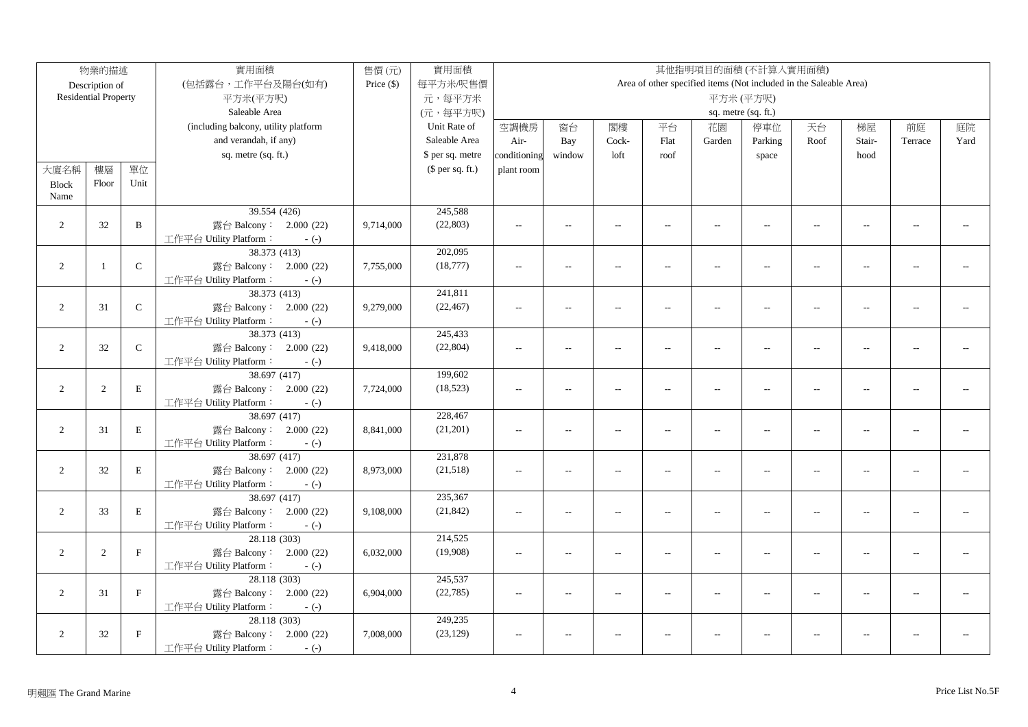|                | 物業的描述                       |              | 實用面積                                             | 售價(元)        | 實用面積                |               |                          |                          |                          | 其他指明項目的面積(不計算入實用面積)                                               |                          |                          |                          |                |      |
|----------------|-----------------------------|--------------|--------------------------------------------------|--------------|---------------------|---------------|--------------------------|--------------------------|--------------------------|-------------------------------------------------------------------|--------------------------|--------------------------|--------------------------|----------------|------|
|                | Description of              |              | (包括露台,工作平台及陽台(如有)                                | Price $(\$)$ | 每平方米/呎售價            |               |                          |                          |                          | Area of other specified items (Not included in the Saleable Area) |                          |                          |                          |                |      |
|                | <b>Residential Property</b> |              | 平方米(平方呎)                                         |              | 元,每平方米              |               |                          |                          |                          |                                                                   | 平方米(平方呎)                 |                          |                          |                |      |
|                |                             |              | Saleable Area                                    |              | (元,每平方呎)            |               |                          |                          |                          |                                                                   | sq. metre (sq. ft.)      |                          |                          |                |      |
|                |                             |              | (including balcony, utility platform             |              | Unit Rate of        | 空調機房          | 窗台                       | 閣樓                       | 平台                       | 花園                                                                | 停車位                      | 天台                       | 梯屋                       | 前庭             | 庭院   |
|                |                             |              | and verandah, if any)                            |              | Saleable Area       | Air-          | Bay                      | Cock-                    | Flat                     | Garden                                                            | Parking                  | Roof                     | Stair-                   | Terrace        | Yard |
|                |                             |              | sq. metre (sq. ft.)                              |              | \$ per sq. metre    | conditioning  | window                   | loft                     | roof                     |                                                                   | space                    |                          | hood                     |                |      |
| 大廈名稱           | 樓層                          | 單位           |                                                  |              | $$$ per sq. ft.)    | plant room    |                          |                          |                          |                                                                   |                          |                          |                          |                |      |
| <b>Block</b>   | Floor                       | Unit         |                                                  |              |                     |               |                          |                          |                          |                                                                   |                          |                          |                          |                |      |
| Name           |                             |              |                                                  |              |                     |               |                          |                          |                          |                                                                   |                          |                          |                          |                |      |
|                |                             |              | 39.554 (426)                                     |              | 245,588             |               |                          |                          |                          |                                                                   |                          |                          |                          |                |      |
| 2              | 32                          | B            | 露台 Balcony: 2.000 (22)                           | 9,714,000    | (22, 803)           | $\sim$ $\sim$ | $\overline{a}$           | $\sim$                   | $\sim$                   | $\sim$                                                            | $\sim$                   | $\sim$                   | $\sim$                   | $\overline{a}$ |      |
|                |                             |              | 工作平台 Utility Platform:<br>$-(-)$                 |              |                     |               |                          |                          |                          |                                                                   |                          |                          |                          |                |      |
|                |                             |              | 38.373 (413)                                     |              | 202,095             |               |                          |                          |                          |                                                                   |                          |                          |                          |                |      |
| $\overline{2}$ | $\overline{1}$              | $\mathbf C$  | 露台 Balcony: 2.000 (22)                           | 7,755,000    | (18, 777)           | $\sim$        | $\overline{a}$           | $\sim$                   | $\overline{a}$           | $\overline{a}$                                                    | $\sim$                   | $\sim$                   | $\sim$                   |                |      |
|                |                             |              | 工作平台 Utility Platform:<br>$-(-)$                 |              |                     |               |                          |                          |                          |                                                                   |                          |                          |                          |                |      |
|                |                             |              | 38.373 (413)                                     |              | 241,811             |               |                          |                          |                          |                                                                   |                          |                          |                          |                |      |
| $\overline{2}$ | 31                          | $\mathbf C$  | 露台 Balcony: 2.000 (22)                           | 9,279,000    | (22, 467)           | $\sim$ $\sim$ | $\sim$                   | $\sim$                   | $\sim$                   | $\sim$                                                            | $\sim$                   | $\sim$                   |                          |                |      |
|                |                             |              | 工作平台 Utility Platform:<br>$-(-)$                 |              |                     |               |                          |                          |                          |                                                                   |                          |                          |                          |                |      |
|                |                             |              | 38.373 (413)                                     |              | 245,433             |               |                          |                          |                          |                                                                   |                          |                          |                          |                |      |
| $\sqrt{2}$     | $32\,$                      | ${\bf C}$    | 露台 Balcony: 2.000 (22)                           | 9,418,000    | (22, 804)           | $\sim$        | $\overline{a}$           | $\sim$                   | $\overline{a}$           | $\overline{a}$                                                    | $\overline{a}$           | $\sim$                   | $\sim$                   | $\overline{a}$ |      |
|                |                             |              | 工作平台 Utility Platform:<br>$-(-)$                 |              |                     |               |                          |                          |                          |                                                                   |                          |                          |                          |                |      |
|                |                             |              | 38.697 (417)                                     |              | 199,602             |               |                          |                          |                          |                                                                   |                          |                          |                          |                |      |
| $\sqrt{2}$     | 2                           | $\mathbf E$  | 露台 Balcony: 2.000 (22)                           | 7,724,000    | (18, 523)           | $\sim$        | $\overline{a}$           | $\overline{a}$           | $\overline{\phantom{a}}$ | $\overline{\phantom{a}}$                                          | $\overline{a}$           | $\overline{\phantom{a}}$ | $\overline{a}$           | $\overline{a}$ |      |
|                |                             |              | 工作平台 Utility Platform:<br>$-(-)$                 |              |                     |               |                          |                          |                          |                                                                   |                          |                          |                          |                |      |
|                |                             |              | 38.697(417)                                      |              | 228,467             |               |                          |                          |                          |                                                                   |                          |                          |                          |                |      |
| $\sqrt{2}$     | 31                          | $\mathbf E$  | 露台 Balcony: 2.000 (22)                           | 8,841,000    | (21,201)            | $\sim$        | $\overline{a}$           | $\sim$                   | $\overline{a}$           | $\sim$                                                            | $\overline{a}$           | $\sim$                   | $\sim$                   | $\sim$ $\sim$  |      |
|                |                             |              | 工作平台 Utility Platform:<br>$-(-)$                 |              |                     |               |                          |                          |                          |                                                                   |                          |                          |                          |                |      |
|                |                             |              | 38.697 (417)                                     |              | 231,878             |               |                          |                          |                          |                                                                   |                          |                          |                          |                |      |
| $\overline{2}$ | 32                          | $\mathbf E$  | 露台 Balcony: 2.000 (22)                           | 8,973,000    | (21,518)            | $\sim$        | $\overline{a}$           | $\overline{a}$           | $\overline{\phantom{a}}$ | $\overline{a}$                                                    | $\overline{a}$           | $\overline{\phantom{a}}$ | $\overline{a}$           | $\overline{a}$ |      |
|                |                             |              | 工作平台 Utility Platform:<br>$-(-)$                 |              |                     |               |                          |                          |                          |                                                                   |                          |                          |                          |                |      |
|                |                             |              | 38.697 (417)                                     |              | 235,367             |               |                          |                          |                          |                                                                   |                          |                          |                          |                |      |
| 2              | 33                          | $\mathbf E$  | 露台 Balcony: 2.000 (22)                           | 9,108,000    | (21, 842)           | $\sim$        | $\overline{\phantom{a}}$ | $\overline{a}$           | $\overline{a}$           | $\overline{\phantom{a}}$                                          | $\overline{\phantom{a}}$ | $\overline{\phantom{a}}$ | $\overline{\phantom{a}}$ | $-1$           |      |
|                |                             |              | 工作平台 Utility Platform:<br>$-(-)$                 |              |                     |               |                          |                          |                          |                                                                   |                          |                          |                          |                |      |
|                |                             | $\mathbf{F}$ | 28.118 (303)                                     |              | 214,525<br>(19,908) |               |                          |                          |                          |                                                                   |                          |                          |                          |                |      |
| $\overline{2}$ | 2                           |              | 露台 Balcony: 2.000 (22)<br>工作平台 Utility Platform: | 6,032,000    |                     | $\sim$        | $\overline{a}$           | $\overline{a}$           | $\overline{a}$           | $\overline{\phantom{a}}$                                          | $\overline{\phantom{a}}$ | $\overline{\phantom{a}}$ | $\overline{a}$           | $\overline{a}$ |      |
|                |                             |              | $-(-)$<br>28.118 (303)                           |              | 245,537             |               |                          |                          |                          |                                                                   |                          |                          |                          |                |      |
| 2              | 31                          | $\mathbf{F}$ | 露台 Balcony: 2.000 (22)                           | 6,904,000    | (22, 785)           | $\sim$ $\sim$ | $\overline{a}$           | $\overline{\phantom{a}}$ | $\overline{a}$           | $\overline{a}$                                                    | $\overline{a}$           | $\sim$                   | $\overline{a}$           |                |      |
|                |                             |              | 工作平台 Utility Platform:<br>$-(-)$                 |              |                     |               |                          |                          |                          |                                                                   |                          |                          |                          |                |      |
|                |                             |              | 28.118 (303)                                     |              | 249,235             |               |                          |                          |                          |                                                                   |                          |                          |                          |                |      |
| $\overline{2}$ | 32                          | $\mathbf F$  | 露台 Balcony: 2.000 (22)                           | 7,008,000    | (23, 129)           | $\sim$ $\sim$ | $\overline{a}$           | $\sim$                   |                          | $\overline{a}$                                                    | $\sim$ $\sim$            | $\overline{a}$           | $\overline{a}$           | $\overline{a}$ |      |
|                |                             |              | 工作平台 Utility Platform:<br>$-(-)$                 |              |                     |               |                          |                          |                          |                                                                   |                          |                          |                          |                |      |
|                |                             |              |                                                  |              |                     |               |                          |                          |                          |                                                                   |                          |                          |                          |                |      |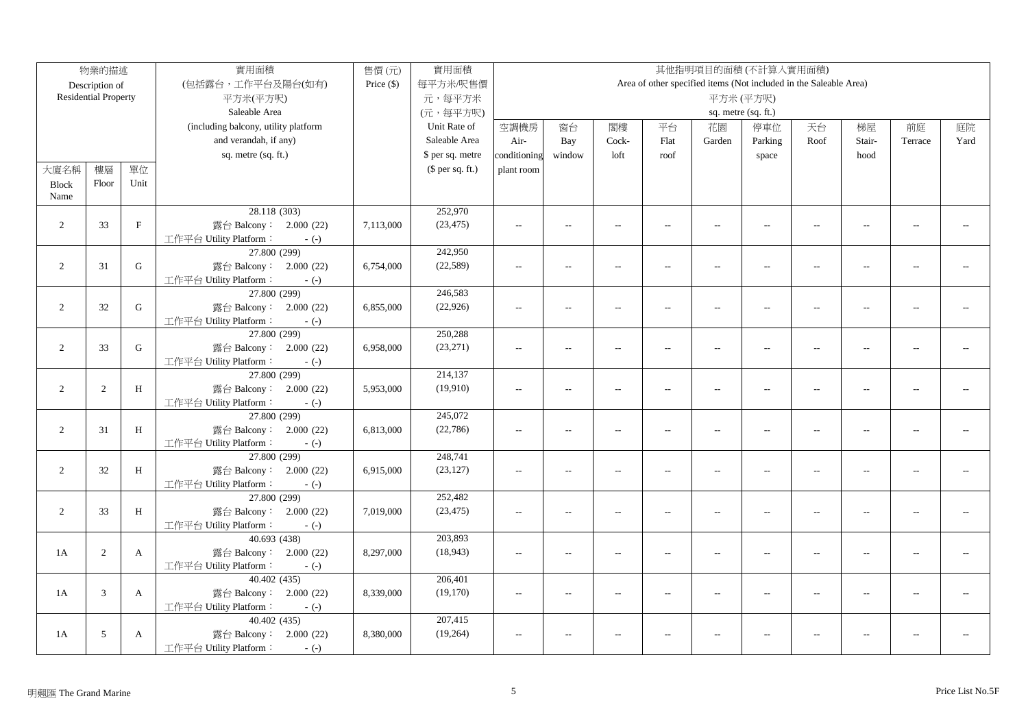|                | 物業的描述                       |              | 實用面積                                   | 售價(元)        | 實用面積             |                |                          |                          |                          |                          | 其他指明項目的面積(不計算入實用面積)                                               |                          |                          |                |      |
|----------------|-----------------------------|--------------|----------------------------------------|--------------|------------------|----------------|--------------------------|--------------------------|--------------------------|--------------------------|-------------------------------------------------------------------|--------------------------|--------------------------|----------------|------|
|                | Description of              |              | (包括露台,工作平台及陽台(如有)                      | Price $(\$)$ | 每平方米/呎售價         |                |                          |                          |                          |                          | Area of other specified items (Not included in the Saleable Area) |                          |                          |                |      |
|                | <b>Residential Property</b> |              | 平方米(平方呎)                               |              | 元,每平方米           |                |                          |                          |                          |                          | 平方米(平方呎)                                                          |                          |                          |                |      |
|                |                             |              | Saleable Area                          |              | (元,每平方呎)         |                |                          |                          |                          |                          | sq. metre (sq. ft.)                                               |                          |                          |                |      |
|                |                             |              | (including balcony, utility platform   |              | Unit Rate of     | 空調機房           | 窗台                       | 閣樓                       | 平台                       | 花園                       | 停車位                                                               | 天台                       | 梯屋                       | 前庭             | 庭院   |
|                |                             |              | and verandah, if any)                  |              | Saleable Area    | Air-           | Bay                      | Cock-                    | Flat                     | Garden                   | Parking                                                           | Roof                     | Stair-                   | Terrace        | Yard |
|                |                             |              | sq. metre (sq. ft.)                    |              | \$ per sq. metre | conditioning   | window                   | loft                     | roof                     |                          | space                                                             |                          | hood                     |                |      |
| 大廈名稱           | 樓層                          | 單位           |                                        |              | $$$ per sq. ft.) | plant room     |                          |                          |                          |                          |                                                                   |                          |                          |                |      |
| <b>Block</b>   | Floor                       | Unit         |                                        |              |                  |                |                          |                          |                          |                          |                                                                   |                          |                          |                |      |
| Name           |                             |              |                                        |              |                  |                |                          |                          |                          |                          |                                                                   |                          |                          |                |      |
|                |                             |              | 28.118 (303)                           |              | 252,970          |                |                          |                          |                          |                          |                                                                   |                          |                          |                |      |
| 2              | 33                          | $\mathbf{F}$ | 露台 Balcony: 2.000 (22)                 | 7,113,000    | (23, 475)        | $\sim$ $\sim$  | $\overline{a}$           | $\sim$                   | $\sim$                   | $\sim$                   | $\sim$                                                            | $\sim$                   | $\sim$                   | $\overline{a}$ |      |
|                |                             |              | 工作平台 Utility Platform:<br>$-(-)$       |              |                  |                |                          |                          |                          |                          |                                                                   |                          |                          |                |      |
|                |                             |              | 27.800 (299)                           |              | 242,950          |                |                          |                          |                          |                          |                                                                   |                          |                          |                |      |
| $\overline{2}$ | 31                          | G            | 露台 Balcony: 2.000 (22)                 | 6,754,000    | (22, 589)        | $\sim$         | $\overline{a}$           | $\sim$                   | $\overline{a}$           | $\overline{a}$           | $\sim$                                                            | $\sim$                   | $\sim$                   |                |      |
|                |                             |              | 工作平台 Utility Platform:<br>$-(-)$       |              |                  |                |                          |                          |                          |                          |                                                                   |                          |                          |                |      |
|                |                             |              | 27.800 (299)                           |              | 246,583          |                |                          |                          |                          |                          |                                                                   |                          |                          |                |      |
| $\overline{2}$ | 32                          | G            | 露台 Balcony: 2.000 (22)                 | 6,855,000    | (22, 926)        | $\sim$ $\sim$  | $\sim$                   | $\sim$                   | $\sim$                   | $\sim$                   | $\sim$                                                            | $\sim$                   | $\sim$                   |                |      |
|                |                             |              | 工作平台 Utility Platform:<br>$-(-)$       |              |                  |                |                          |                          |                          |                          |                                                                   |                          |                          |                |      |
|                |                             |              | 27.800 (299)                           |              | 250,288          |                |                          |                          |                          |                          |                                                                   |                          |                          |                |      |
| $\sqrt{2}$     | 33                          | ${\bf G}$    | 露台 Balcony: 2.000 (22)                 | 6,958,000    | (23, 271)        | $\sim$         | $\overline{\phantom{a}}$ | $\sim$                   | $\overline{a}$           | $\overline{a}$           | $\overline{a}$                                                    | $\sim$                   | $\sim$                   | $\overline{a}$ |      |
|                |                             |              | 工作平台 Utility Platform:<br>$-(-)$       |              |                  |                |                          |                          |                          |                          |                                                                   |                          |                          |                |      |
|                |                             |              | 27.800 (299)                           |              | 214,137          |                |                          |                          |                          |                          |                                                                   |                          |                          |                |      |
| $\sqrt{2}$     | 2                           | H            | 露台 Balcony: 2.000 (22)                 | 5,953,000    | (19,910)         | $\sim$         | $\overline{a}$           | $\overline{a}$           | $\overline{\phantom{a}}$ | $\overline{\phantom{a}}$ | $\overline{a}$                                                    | $\overline{\phantom{a}}$ | $\overline{a}$           | $\overline{a}$ |      |
|                |                             |              | 工作平台 Utility Platform:<br>$-(-)$       |              |                  |                |                          |                          |                          |                          |                                                                   |                          |                          |                |      |
|                |                             |              | 27.800 (299)                           |              | 245,072          |                |                          |                          |                          |                          |                                                                   |                          |                          |                |      |
| $\sqrt{2}$     | 31                          | $\, {\rm H}$ | 露台 Balcony: 2.000 (22)                 | 6,813,000    | (22, 786)        | $\sim$         | $\overline{\phantom{a}}$ | $\sim$                   | $\sim$                   | $\sim$                   | $\overline{a}$                                                    | $\sim$                   | $\sim$                   | $\sim$ $\sim$  |      |
|                |                             |              | 工作平台 Utility Platform:<br>$-(-)$       |              |                  |                |                          |                          |                          |                          |                                                                   |                          |                          |                |      |
|                |                             |              | 27.800 (299)                           |              | 248,741          |                |                          |                          |                          |                          |                                                                   |                          |                          |                |      |
| $\overline{2}$ | 32                          | H            | 露台 Balcony: 2.000 (22)                 | 6,915,000    | (23, 127)        | $\sim$         | $\overline{a}$           | $\overline{a}$           | $\overline{a}$           | $\overline{a}$           | $\overline{a}$                                                    | $\overline{\phantom{a}}$ | $\overline{a}$           | $\overline{a}$ |      |
|                |                             |              | 工作平台 Utility Platform:<br>$-(-)$       |              |                  |                |                          |                          |                          |                          |                                                                   |                          |                          |                |      |
|                |                             |              | 27.800 (299)                           |              | 252,482          |                |                          |                          |                          |                          |                                                                   |                          |                          |                |      |
| $\overline{2}$ | 33                          | H            | 露台 Balcony: 2.000 (22)                 | 7,019,000    | (23, 475)        | $\sim$         | $\overline{\phantom{a}}$ | $\overline{a}$           | $\overline{a}$           | $\overline{\phantom{a}}$ | $\overline{\phantom{a}}$                                          | $\overline{\phantom{a}}$ | $\overline{\phantom{a}}$ | $-1$           |      |
|                |                             |              | 工作平台 Utility Platform:<br>$-(-)$       |              | 203,893          |                |                          |                          |                          |                          |                                                                   |                          |                          |                |      |
| 1A             |                             |              | 40.693 (438)<br>露台 Balcony: 2.000 (22) |              | (18, 943)        |                |                          |                          |                          |                          |                                                                   |                          |                          | $\overline{a}$ |      |
|                | 2                           | $\mathbf{A}$ | 工作平台 Utility Platform:                 | 8,297,000    |                  | $\overline{a}$ | $\overline{a}$           | $\overline{a}$           | $\overline{a}$           | $\overline{\phantom{a}}$ | $\overline{a}$                                                    | $\overline{\phantom{a}}$ | $\overline{a}$           |                |      |
|                |                             |              | $-(-)$<br>40.402 (435)                 |              | 206,401          |                |                          |                          |                          |                          |                                                                   |                          |                          |                |      |
| 1A             | 3                           | $\mathbf{A}$ | 露台 Balcony: 2.000 (22)                 | 8,339,000    | (19,170)         | $\sim$ $\sim$  | $\overline{a}$           | $\overline{\phantom{a}}$ | $\overline{a}$           | $\overline{a}$           | $\overline{a}$                                                    | $\sim$                   | $\overline{a}$           |                |      |
|                |                             |              | 工作平台 Utility Platform:<br>$-(-)$       |              |                  |                |                          |                          |                          |                          |                                                                   |                          |                          |                |      |
|                |                             |              | 40.402 (435)                           |              | 207,415          |                |                          |                          |                          |                          |                                                                   |                          |                          |                |      |
| 1A             | $5\,$                       | $\mathbf{A}$ | 露台 Balcony: 2.000 (22)                 | 8,380,000    | (19,264)         | $\sim$ $\sim$  | $\overline{a}$           | $\sim$                   |                          | $\overline{a}$           | $\sim$ $\sim$                                                     | $\overline{a}$           | $\overline{a}$           | $\sim$         |      |
|                |                             |              | 工作平台 Utility Platform:<br>$-(-)$       |              |                  |                |                          |                          |                          |                          |                                                                   |                          |                          |                |      |
|                |                             |              |                                        |              |                  |                |                          |                          |                          |                          |                                                                   |                          |                          |                |      |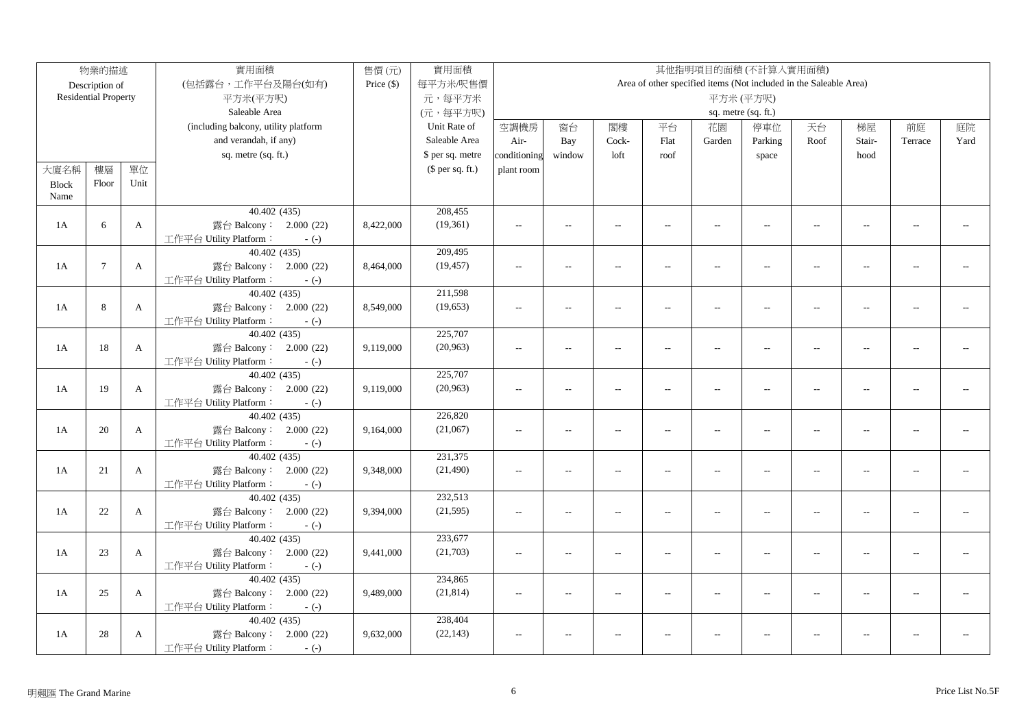|              | 物業的描述                       |              | 實用面積                                             | 售價(元)        | 實用面積             |                |                          |                          |                |                          | 其他指明項目的面積(不計算入實用面積)                                               |                          |                |                |      |
|--------------|-----------------------------|--------------|--------------------------------------------------|--------------|------------------|----------------|--------------------------|--------------------------|----------------|--------------------------|-------------------------------------------------------------------|--------------------------|----------------|----------------|------|
|              | Description of              |              | (包括露台,工作平台及陽台(如有)                                | Price $(\$)$ | 每平方米/呎售價         |                |                          |                          |                |                          | Area of other specified items (Not included in the Saleable Area) |                          |                |                |      |
|              | <b>Residential Property</b> |              | 平方米(平方呎)                                         |              | 元,每平方米           |                |                          |                          |                |                          | 平方米(平方呎)                                                          |                          |                |                |      |
|              |                             |              | Saleable Area                                    |              | (元,每平方呎)         |                |                          |                          |                |                          | sq. metre (sq. ft.)                                               |                          |                |                |      |
|              |                             |              | (including balcony, utility platform             |              | Unit Rate of     | 空調機房           | 窗台                       | 閣樓                       | 平台             | 花園                       | 停車位                                                               | 天台                       | 梯屋             | 前庭             | 庭院   |
|              |                             |              | and verandah, if any)                            |              | Saleable Area    | Air-           | Bay                      | Cock-                    | Flat           | Garden                   | Parking                                                           | Roof                     | Stair-         | Terrace        | Yard |
|              |                             |              | sq. metre (sq. ft.)                              |              | \$ per sq. metre | conditioning   | window                   | loft                     | roof           |                          | space                                                             |                          | hood           |                |      |
| 大廈名稱         | 樓層                          | 單位           |                                                  |              | $$$ per sq. ft.) | plant room     |                          |                          |                |                          |                                                                   |                          |                |                |      |
| <b>Block</b> | Floor                       | Unit         |                                                  |              |                  |                |                          |                          |                |                          |                                                                   |                          |                |                |      |
| Name         |                             |              |                                                  |              |                  |                |                          |                          |                |                          |                                                                   |                          |                |                |      |
|              |                             |              | 40.402 (435)                                     |              | 208,455          |                |                          |                          |                |                          |                                                                   |                          |                |                |      |
| 1A           | 6                           | $\mathbf{A}$ | 露台 Balcony: 2.000 (22)                           | 8,422,000    | (19,361)         | $\sim$ $\sim$  | $\overline{a}$           | $\sim$                   | $\sim$         | $\sim$                   | $\sim$                                                            | $\sim$                   | $\sim$         | $\overline{a}$ |      |
|              |                             |              | 工作平台 Utility Platform:<br>$-(-)$                 |              |                  |                |                          |                          |                |                          |                                                                   |                          |                |                |      |
|              |                             |              | 40.402 (435)                                     |              | 209,495          |                |                          |                          |                |                          |                                                                   |                          |                |                |      |
| 1A           | $7\phantom{.0}$             | $\mathbf{A}$ | 露台 Balcony: 2.000 (22)                           | 8,464,000    | (19, 457)        | $\sim$         | $\overline{a}$           | $\overline{a}$           | $\sim$         | $\overline{a}$           | $\sim$                                                            | $\sim$                   | $\sim$         |                |      |
|              |                             |              | 工作平台 Utility Platform:<br>$-(-)$                 |              |                  |                |                          |                          |                |                          |                                                                   |                          |                |                |      |
|              |                             |              | 40.402(435)                                      |              | 211,598          |                |                          |                          |                |                          |                                                                   |                          |                |                |      |
| 1A           | 8                           | $\mathbf{A}$ | 露台 Balcony: 2.000 (22)                           | 8,549,000    | (19, 653)        | $\sim$ $\sim$  | $\sim$                   | $\sim$                   | $\sim$         | $\sim$                   | $\sim$                                                            | $\sim$                   | $\sim$         |                |      |
|              |                             |              | 工作平台 Utility Platform:<br>$-(-)$                 |              |                  |                |                          |                          |                |                          |                                                                   |                          |                |                |      |
|              |                             |              | 40.402 (435)                                     |              | 225,707          |                |                          |                          |                |                          |                                                                   |                          |                |                |      |
| 1A           | 18                          | $\mathbf{A}$ | 露台 Balcony: 2.000 (22)                           | 9,119,000    | (20,963)         | $\sim$         | $\overline{\phantom{a}}$ | $\sim$                   | $\overline{a}$ | $\overline{a}$           | $\overline{a}$                                                    | $\sim$                   | $\sim$         | $\overline{a}$ |      |
|              |                             |              | 工作平台 Utility Platform:<br>$-(-)$                 |              |                  |                |                          |                          |                |                          |                                                                   |                          |                |                |      |
|              |                             |              | 40.402 (435)                                     |              | 225,707          |                |                          |                          |                |                          |                                                                   |                          |                |                |      |
| 1A           | 19                          | $\mathbf{A}$ | 露台 Balcony: 2.000 (22)                           | 9,119,000    | (20,963)         | $\overline{a}$ | $\overline{a}$           | $\overline{a}$           | $\overline{a}$ | $\overline{\phantom{a}}$ | $\overline{a}$                                                    | $\overline{\phantom{a}}$ | $\overline{a}$ | $\overline{a}$ |      |
|              |                             |              | 工作平台 Utility Platform:<br>$-(-)$                 |              |                  |                |                          |                          |                |                          |                                                                   |                          |                |                |      |
|              |                             |              | 40.402(435)                                      |              | 226,820          |                |                          |                          |                |                          |                                                                   |                          |                |                |      |
| 1A           | 20                          | $\mathbf{A}$ | 露台 Balcony: 2.000 (22)                           | 9,164,000    | (21,067)         | $\overline{a}$ | $\overline{\phantom{a}}$ | $\sim$                   | $\sim$         | $\overline{a}$           | $\overline{a}$                                                    | $\overline{\phantom{a}}$ | $\sim$         | $\sim$ $\sim$  |      |
|              |                             |              | 工作平台 Utility Platform:<br>$-(-)$                 |              |                  |                |                          |                          |                |                          |                                                                   |                          |                |                |      |
|              |                             |              | 40.402(435)                                      |              | 231,375          |                |                          |                          |                |                          |                                                                   |                          |                |                |      |
| 1A           | 21                          | $\mathbf{A}$ | 露台 Balcony: 2.000 (22)                           | 9,348,000    | (21, 490)        | $\overline{a}$ | $\overline{a}$           | $\overline{a}$           | $\overline{a}$ | $\overline{\phantom{a}}$ | $\overline{a}$                                                    | $\overline{\phantom{a}}$ | $\overline{a}$ | $\overline{a}$ |      |
|              |                             |              | 工作平台 Utility Platform:<br>$-(-)$                 |              |                  |                |                          |                          |                |                          |                                                                   |                          |                |                |      |
|              |                             |              | 40.402 (435)                                     |              | 232,513          |                |                          |                          |                |                          |                                                                   |                          |                |                |      |
| 1A           | 22                          | $\mathbf{A}$ | 露台 Balcony: 2.000 (22)                           | 9,394,000    | (21, 595)        | $\overline{a}$ | $\overline{\phantom{a}}$ | $\overline{a}$           | $\overline{a}$ | $\overline{\phantom{a}}$ | $\overline{\phantom{a}}$                                          | $\overline{\phantom{a}}$ | $\overline{a}$ | $-1$           |      |
|              |                             |              | 工作平台 Utility Platform:<br>$-(-)$                 |              | 233,677          |                |                          |                          |                |                          |                                                                   |                          |                |                |      |
| 1A           |                             | $\mathbf{A}$ | 40.402 (435)                                     |              | (21,703)         |                |                          |                          |                |                          |                                                                   |                          |                |                |      |
|              | 23                          |              | 露台 Balcony: 2.000 (22)                           | 9,441,000    |                  | $\sim$         | $\overline{a}$           | $\overline{a}$           | $\overline{a}$ | $\overline{\phantom{a}}$ | $\overline{a}$                                                    | $\overline{\phantom{a}}$ | $\overline{a}$ | $\overline{a}$ |      |
|              |                             |              | 工作平台 Utility Platform:<br>$-(-)$<br>40.402 (435) |              | 234,865          |                |                          |                          |                |                          |                                                                   |                          |                |                |      |
| 1A           | 25                          | $\mathbf{A}$ | 露台 Balcony: 2.000 (22)                           | 9,489,000    | (21, 814)        | $\sim$ $\sim$  | $\overline{a}$           | $\overline{\phantom{a}}$ | $\overline{a}$ | $\overline{a}$           | $\overline{a}$                                                    | $\sim$                   | $\overline{a}$ | $\overline{a}$ |      |
|              |                             |              | 工作平台 Utility Platform:<br>$-(-)$                 |              |                  |                |                          |                          |                |                          |                                                                   |                          |                |                |      |
|              |                             |              | 40.402 (435)                                     |              | 238,404          |                |                          |                          |                |                          |                                                                   |                          |                |                |      |
| 1A           | 28                          | $\mathbf{A}$ | 露台 Balcony: 2.000 (22)                           | 9,632,000    | (22, 143)        | $\sim$ $\sim$  | $\overline{a}$           | $\sim$                   |                | $\overline{a}$           | $\sim$ $\sim$                                                     | $\overline{a}$           | $\overline{a}$ | $\sim$         |      |
|              |                             |              | 工作平台 Utility Platform:<br>$-(-)$                 |              |                  |                |                          |                          |                |                          |                                                                   |                          |                |                |      |
|              |                             |              |                                                  |              |                  |                |                          |                          |                |                          |                                                                   |                          |                |                |      |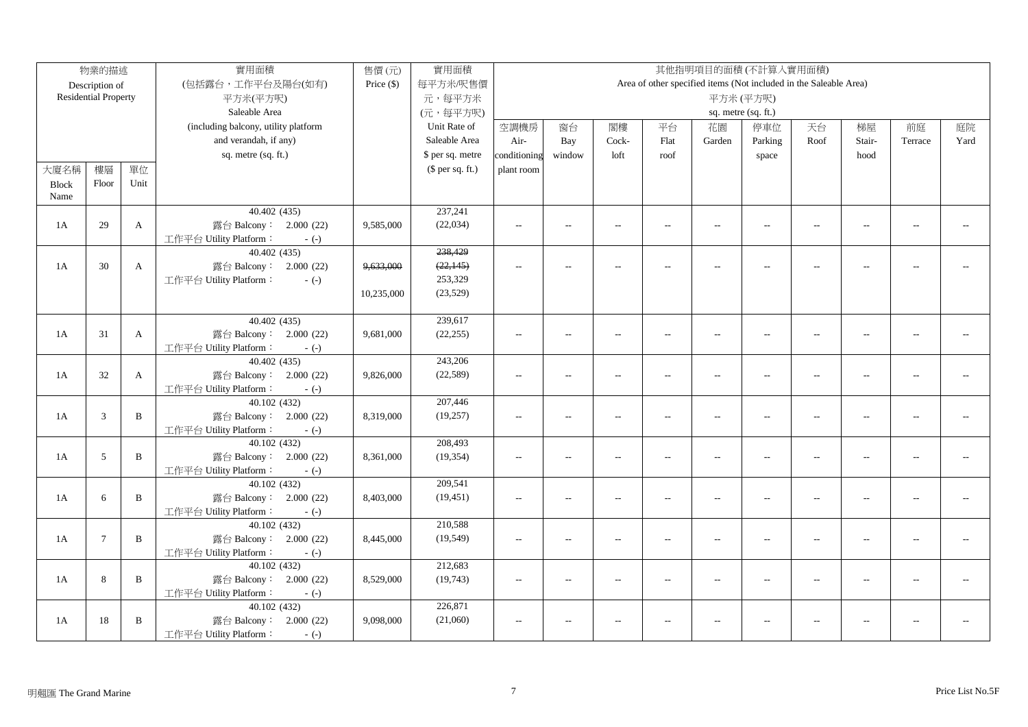|              | 物業的描述                       |              | 實用面積<br>實用面積<br>其他指明項目的面積(不計算入實用面積)<br>售價(元)     |              |                  |                          |                          |                          |                          |                          |                                                                   |                          |                          |                |      |
|--------------|-----------------------------|--------------|--------------------------------------------------|--------------|------------------|--------------------------|--------------------------|--------------------------|--------------------------|--------------------------|-------------------------------------------------------------------|--------------------------|--------------------------|----------------|------|
|              | Description of              |              | (包括露台,工作平台及陽台(如有)                                | Price $(\$)$ | 每平方米/呎售價         |                          |                          |                          |                          |                          | Area of other specified items (Not included in the Saleable Area) |                          |                          |                |      |
|              | <b>Residential Property</b> |              | 平方米(平方呎)                                         |              | 元,每平方米           |                          |                          |                          |                          |                          | 平方米(平方呎)                                                          |                          |                          |                |      |
|              |                             |              | Saleable Area                                    |              | (元,每平方呎)         |                          |                          |                          |                          |                          | sq. metre (sq. ft.)                                               |                          |                          |                |      |
|              |                             |              | (including balcony, utility platform             |              | Unit Rate of     | 空調機房                     | 窗台                       | 閣樓                       | 平台                       | 花園                       | 停車位                                                               | 天台                       | 梯屋                       | 前庭             | 庭院   |
|              |                             |              | and verandah, if any)                            |              | Saleable Area    | Air-                     | Bay                      | Cock-                    | Flat                     | Garden                   | Parking                                                           | Roof                     | Stair-                   | Terrace        | Yard |
|              |                             |              | sq. metre (sq. ft.)                              |              | \$ per sq. metre | conditioning             | window                   | loft                     | roof                     |                          | space                                                             |                          | hood                     |                |      |
| 大廈名稱         | 樓層                          | 單位           |                                                  |              | $$$ per sq. ft.) | plant room               |                          |                          |                          |                          |                                                                   |                          |                          |                |      |
| <b>Block</b> | Floor                       | Unit         |                                                  |              |                  |                          |                          |                          |                          |                          |                                                                   |                          |                          |                |      |
| Name         |                             |              |                                                  |              |                  |                          |                          |                          |                          |                          |                                                                   |                          |                          |                |      |
|              |                             |              | 40.402(435)                                      |              | 237,241          |                          |                          |                          |                          |                          |                                                                   |                          |                          |                |      |
| 1A           | 29                          | $\mathbf{A}$ | 露台 Balcony: 2.000 (22)                           | 9,585,000    | (22, 034)        | $-$                      | $\overline{\phantom{a}}$ | $\overline{a}$           | $\overline{\phantom{a}}$ | $\overline{a}$           | $\overline{a}$                                                    | $\overline{a}$           | $\overline{\phantom{a}}$ | $\sim$         |      |
|              |                             |              | 工作平台 Utility Platform:<br>$-(-)$                 |              |                  |                          |                          |                          |                          |                          |                                                                   |                          |                          |                |      |
|              |                             |              | 40.402(435)                                      |              | 238,429          |                          |                          |                          |                          |                          |                                                                   |                          |                          |                |      |
| 1A           | 30                          | $\mathbf{A}$ | 露台 Balcony: 2.000 (22)                           | 9,633,000    | (22, 145)        | $\overline{a}$           | $\overline{a}$           | $\sim$                   | $\overline{a}$           | $\overline{\phantom{a}}$ | $\mathord{\hspace{1pt}\text{--}\hspace{1pt}}$                     | $\overline{a}$           | $\overline{a}$           | $\sim$ $\sim$  |      |
|              |                             |              | 工作平台 Utility Platform:<br>$-(-)$                 |              | 253,329          |                          |                          |                          |                          |                          |                                                                   |                          |                          |                |      |
|              |                             |              |                                                  | 10,235,000   | (23, 529)        |                          |                          |                          |                          |                          |                                                                   |                          |                          |                |      |
|              |                             |              |                                                  |              |                  |                          |                          |                          |                          |                          |                                                                   |                          |                          |                |      |
|              |                             |              | 40.402(435)                                      |              | 239,617          |                          |                          |                          |                          |                          |                                                                   |                          |                          |                |      |
| 1A           | 31                          | $\mathbf{A}$ | 露台 Balcony: 2.000 (22)                           | 9,681,000    | (22, 255)        | $-$                      | $\overline{\phantom{0}}$ | $\sim$                   | $\overline{a}$           | $\sim$                   | $\sim$                                                            | $\overline{a}$           | $\overline{\phantom{a}}$ | $\overline{a}$ |      |
|              |                             |              | 工作平台 Utility Platform:<br>$-(-)$                 |              |                  |                          |                          |                          |                          |                          |                                                                   |                          |                          |                |      |
|              |                             |              | 40.402(435)                                      |              | 243,206          |                          |                          |                          |                          |                          |                                                                   |                          |                          |                |      |
| 1A           | 32                          | $\mathbf{A}$ | 露台 Balcony: 2.000 (22)                           | 9,826,000    | (22, 589)        | $\overline{a}$           | $\overline{a}$           | $\sim$                   | $\overline{\phantom{a}}$ | $\sim$                   | $\overline{\phantom{a}}$                                          | $\overline{a}$           | $\overline{a}$           | $\overline{a}$ |      |
|              |                             |              | 工作平台 Utility Platform:<br>$-(-)$                 |              |                  |                          |                          |                          |                          |                          |                                                                   |                          |                          |                |      |
|              |                             |              | 40.102 (432)                                     |              | 207,446          |                          |                          |                          |                          |                          |                                                                   |                          |                          |                |      |
| 1A           | 3                           | B            | 露台 Balcony: 2.000 (22)                           | 8,319,000    | (19,257)         | $\overline{a}$           | $\overline{a}$           | $\overline{a}$           | $\overline{a}$           | $\overline{a}$           | $\overline{a}$                                                    | $\overline{a}$           | $\overline{\phantom{a}}$ | $\overline{a}$ |      |
|              |                             |              | 工作平台 Utility Platform:<br>$-(-)$                 |              |                  |                          |                          |                          |                          |                          |                                                                   |                          |                          |                |      |
|              |                             |              | 40.102 (432)                                     |              | 208,493          |                          |                          |                          |                          |                          |                                                                   |                          |                          |                |      |
| 1A           | 5                           | B            | 露台 Balcony: 2.000 (22)                           | 8,361,000    | (19, 354)        | $\overline{a}$           | $\overline{a}$           | $\overline{a}$           | $\overline{\phantom{a}}$ | $\overline{a}$           | $\overline{a}$                                                    | $\overline{a}$           | $\overline{\phantom{a}}$ |                |      |
|              |                             |              | 工作平台 Utility Platform:<br>$-(-)$<br>40.102 (432) |              | 209,541          |                          |                          |                          |                          |                          |                                                                   |                          |                          |                |      |
| 1A           | 6                           | B            | 露台 Balcony: 2.000 (22)                           | 8,403,000    | (19, 451)        | $-$                      | $\overline{a}$           | $\overline{a}$           | $\overline{\phantom{a}}$ | $\overline{a}$           | $\overline{a}$                                                    | $\overline{a}$           | $\overline{\phantom{a}}$ | $\overline{a}$ |      |
|              |                             |              | 工作平台 Utility Platform:                           |              |                  |                          |                          |                          |                          |                          |                                                                   |                          |                          |                |      |
|              |                             |              | $-(-)$<br>40.102 (432)                           |              | 210,588          |                          |                          |                          |                          |                          |                                                                   |                          |                          |                |      |
| 1A           | $7\phantom{.0}$             | B            | 露台 Balcony: 2.000 (22)                           | 8,445,000    | (19, 549)        | $\sim$                   | $\overline{a}$           | $\sim$                   | $\overline{a}$           | $\sim$                   | $\overline{\phantom{a}}$                                          | $\overline{\phantom{a}}$ | $\overline{a}$           | $\sim$ $\sim$  |      |
|              |                             |              | 工作平台 Utility Platform:<br>$-(-)$                 |              |                  |                          |                          |                          |                          |                          |                                                                   |                          |                          |                |      |
|              |                             |              | 40.102 (432)                                     |              | 212,683          |                          |                          |                          |                          |                          |                                                                   |                          |                          |                |      |
| 1A           | 8                           | B            | 露台 Balcony: 2.000 (22)                           | 8,529,000    | (19, 743)        | $\sim$ $\sim$            | $\overline{\phantom{a}}$ | $\sim$                   | $\overline{a}$           | $\sim$                   | $\sim$ $\sim$                                                     | $\sim$                   | $\sim$                   |                |      |
|              |                             |              | 工作平台 Utility Platform:<br>$-(-)$                 |              |                  |                          |                          |                          |                          |                          |                                                                   |                          |                          |                |      |
|              |                             |              | 40.102 (432)                                     |              | 226,871          |                          |                          |                          |                          |                          |                                                                   |                          |                          |                |      |
| 1A           | 18                          | B            | 露台 Balcony: 2.000 (22)                           | 9,098,000    | (21,060)         | $\overline{\phantom{a}}$ | $\overline{\phantom{a}}$ | $\overline{\phantom{a}}$ | $\overline{a}$           | $\overline{\phantom{a}}$ | $\sim$ $\sim$                                                     | $\sim$                   | $\overline{a}$           | $\sim$         |      |
|              |                             |              | 工作平台 Utility Platform:<br>$-(-)$                 |              |                  |                          |                          |                          |                          |                          |                                                                   |                          |                          |                |      |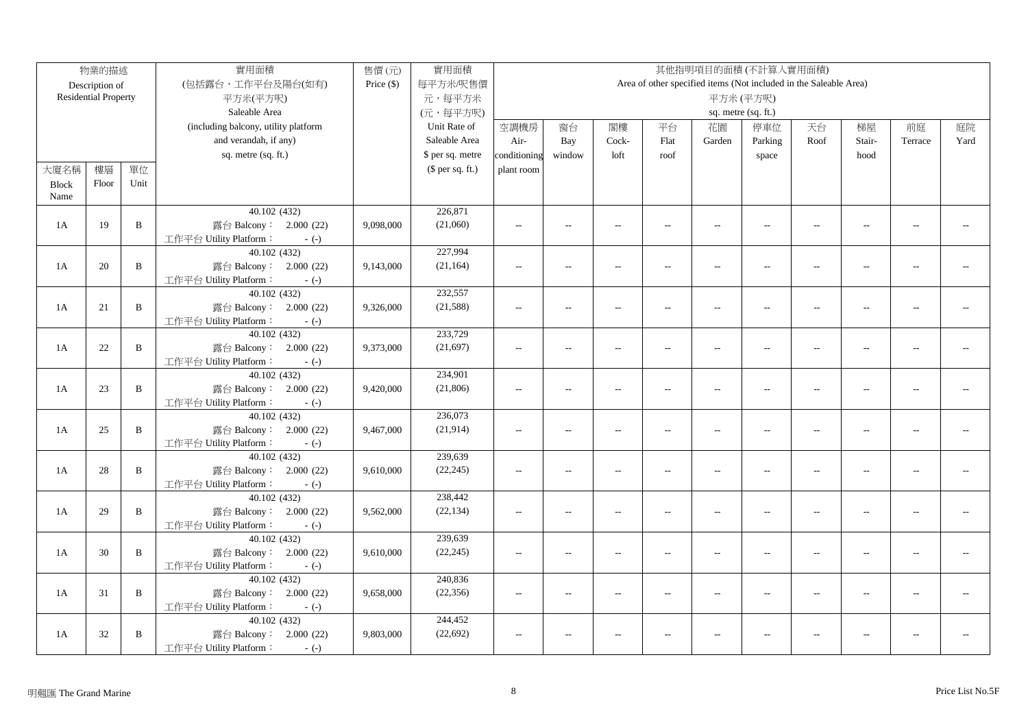|              | 物業的描述                       |              | 實用面積                                   | 售價(元)        | 實用面積             |                |                          |                          |                          |                          | 其他指明項目的面積(不計算入實用面積)                                               |                          |                |                |      |
|--------------|-----------------------------|--------------|----------------------------------------|--------------|------------------|----------------|--------------------------|--------------------------|--------------------------|--------------------------|-------------------------------------------------------------------|--------------------------|----------------|----------------|------|
|              | Description of              |              | (包括露台,工作平台及陽台(如有)                      | Price $(\$)$ | 每平方米/呎售價         |                |                          |                          |                          |                          | Area of other specified items (Not included in the Saleable Area) |                          |                |                |      |
|              | <b>Residential Property</b> |              | 平方米(平方呎)                               |              | 元,每平方米           |                |                          |                          |                          |                          | 平方米(平方呎)                                                          |                          |                |                |      |
|              |                             |              | Saleable Area                          |              | (元,每平方呎)         |                |                          |                          |                          |                          | sq. metre (sq. ft.)                                               |                          |                |                |      |
|              |                             |              | (including balcony, utility platform   |              | Unit Rate of     | 空調機房           | 窗台                       | 閣樓                       | 平台                       | 花園                       | 停車位                                                               | 天台                       | 梯屋             | 前庭             | 庭院   |
|              |                             |              | and verandah, if any)                  |              | Saleable Area    | Air-           | Bay                      | Cock-                    | Flat                     | Garden                   | Parking                                                           | Roof                     | Stair-         | Terrace        | Yard |
|              |                             |              | sq. metre (sq. ft.)                    |              | \$ per sq. metre | conditioning   | window                   | loft                     | roof                     |                          | space                                                             |                          | hood           |                |      |
| 大廈名稱         | 樓層                          | 單位           |                                        |              | $$$ per sq. ft.) | plant room     |                          |                          |                          |                          |                                                                   |                          |                |                |      |
| <b>Block</b> | Floor                       | Unit         |                                        |              |                  |                |                          |                          |                          |                          |                                                                   |                          |                |                |      |
| Name         |                             |              |                                        |              |                  |                |                          |                          |                          |                          |                                                                   |                          |                |                |      |
|              |                             |              | 40.102 (432)                           |              | 226,871          |                |                          |                          |                          |                          |                                                                   |                          |                |                |      |
| 1A           | 19                          | $\mathbf{B}$ | 露台 Balcony: 2.000 (22)                 | 9,098,000    | (21,060)         | $\sim$ $\sim$  | $\overline{a}$           | $\sim$                   | $\sim$                   | $\sim$                   | $\sim$                                                            | $\sim$                   | $\sim$         | $\overline{a}$ |      |
|              |                             |              | 工作平台 Utility Platform:<br>$-(-)$       |              |                  |                |                          |                          |                          |                          |                                                                   |                          |                |                |      |
|              |                             |              | 40.102 (432)                           |              | 227,994          |                |                          |                          |                          |                          |                                                                   |                          |                |                |      |
| 1A           | 20                          | $\mathbf{B}$ | 露台 Balcony: 2.000 (22)                 | 9,143,000    | (21, 164)        | $\sim$         | $\overline{a}$           | $\sim$                   | $\overline{a}$           | $\overline{a}$           | $\sim$                                                            | $\sim$                   | $\sim$         |                |      |
|              |                             |              | 工作平台 Utility Platform:<br>$-(-)$       |              |                  |                |                          |                          |                          |                          |                                                                   |                          |                |                |      |
|              |                             |              | 40.102(432)                            |              | 232,557          |                |                          |                          |                          |                          |                                                                   |                          |                |                |      |
| 1A           | 21                          | $\mathbf{B}$ | 露台 Balcony: 2.000 (22)                 | 9,326,000    | (21, 588)        | $\sim$ $\sim$  | $\sim$                   | $\sim$                   | $\sim$                   | $\sim$                   | $\sim$                                                            | $\sim$                   | $\sim$         |                |      |
|              |                             |              | 工作平台 Utility Platform:<br>$-(-)$       |              |                  |                |                          |                          |                          |                          |                                                                   |                          |                |                |      |
|              |                             |              | 40.102 (432)                           |              | 233,729          |                |                          |                          |                          |                          |                                                                   |                          |                |                |      |
| 1A           | $22\,$                      | $\, {\bf B}$ | 露台 Balcony: 2.000 (22)                 | 9,373,000    | (21, 697)        | $\sim$         | $\overline{\phantom{a}}$ | $\sim$                   | $\overline{a}$           | $\overline{a}$           | $\sim$ $\sim$                                                     | $\sim$                   | $\sim$         | $\overline{a}$ |      |
|              |                             |              | 工作平台 Utility Platform:<br>$-(-)$       |              |                  |                |                          |                          |                          |                          |                                                                   |                          |                |                |      |
|              |                             |              | 40.102 (432)                           |              | 234,901          |                |                          |                          |                          |                          |                                                                   |                          |                |                |      |
| 1A           | 23                          | $\mathbf{B}$ | 露台 Balcony: 2.000 (22)                 | 9,420,000    | (21, 806)        | $\sim$         | $\overline{a}$           | $\overline{a}$           | $\overline{\phantom{a}}$ | $\overline{\phantom{a}}$ | $\overline{\phantom{a}}$                                          | $\overline{\phantom{a}}$ | $\overline{a}$ | $\overline{a}$ |      |
|              |                             |              | 工作平台 Utility Platform:<br>$-(-)$       |              |                  |                |                          |                          |                          |                          |                                                                   |                          |                |                |      |
|              |                             |              | 40.102(432)                            |              | 236,073          |                |                          |                          |                          |                          |                                                                   |                          |                |                |      |
| 1A           | 25                          | $\, {\bf B}$ | 露台 Balcony: 2.000 (22)                 | 9,467,000    | (21, 914)        | $\overline{a}$ | $\overline{\phantom{a}}$ | $\sim$                   | $\overline{a}$           | $\overline{a}$           | $\overline{a}$                                                    | $\sim$                   | $\sim$         | $\sim$ $\sim$  |      |
|              |                             |              | 工作平台 Utility Platform:<br>$-(-)$       |              |                  |                |                          |                          |                          |                          |                                                                   |                          |                |                |      |
|              |                             |              | 40.102 (432)                           |              | 239,639          |                |                          |                          |                          |                          |                                                                   |                          |                |                |      |
| 1A           | 28                          | $\mathbf{B}$ | 露台 Balcony: 2.000 (22)                 | 9,610,000    | (22, 245)        | $\overline{a}$ | $\overline{a}$           | $\overline{a}$           | $\overline{\phantom{a}}$ | $\overline{\phantom{a}}$ | $\overline{\phantom{a}}$                                          | $\overline{\phantom{a}}$ | $\overline{a}$ | $\overline{a}$ |      |
|              |                             |              | 工作平台 Utility Platform:<br>$-(-)$       |              |                  |                |                          |                          |                          |                          |                                                                   |                          |                |                |      |
|              |                             |              | 40.102 (432)                           |              | 238,442          |                |                          |                          |                          |                          |                                                                   |                          |                |                |      |
| 1A           | 29                          | $\mathbf{B}$ | 露台 Balcony: 2.000 (22)                 | 9,562,000    | (22, 134)        | $\overline{a}$ | $\overline{\phantom{a}}$ | $\overline{a}$           | $\overline{a}$           | $\overline{a}$           | $\overline{\phantom{a}}$                                          | $\overline{\phantom{a}}$ | $\overline{a}$ | $-1$           |      |
|              |                             |              | 工作平台 Utility Platform:<br>$-(-)$       |              | 239,639          |                |                          |                          |                          |                          |                                                                   |                          |                |                |      |
| 1A           | 30                          | $\mathbf{B}$ | 40.102 (432)<br>露台 Balcony: 2.000 (22) |              | (22, 245)        |                |                          |                          |                          |                          |                                                                   |                          |                | $\overline{a}$ |      |
|              |                             |              | 工作平台 Utility Platform:                 | 9,610,000    |                  | $\overline{a}$ | $\overline{a}$           | $\overline{a}$           | $\overline{a}$           | $\overline{\phantom{a}}$ | $\overline{\phantom{a}}$                                          | $\overline{\phantom{a}}$ | $\overline{a}$ |                |      |
|              |                             |              | $-(-)$<br>40.102 (432)                 |              | 240,836          |                |                          |                          |                          |                          |                                                                   |                          |                |                |      |
| 1A           | 31                          | B            | 露台 Balcony: 2.000 (22)                 | 9,658,000    | (22, 356)        | $\sim$ $\sim$  | $\overline{a}$           | $\overline{\phantom{a}}$ | $\overline{a}$           | $\overline{a}$           | $\overline{a}$                                                    | $\sim$                   | $\overline{a}$ |                |      |
|              |                             |              | 工作平台 Utility Platform:<br>$-(-)$       |              |                  |                |                          |                          |                          |                          |                                                                   |                          |                |                |      |
|              |                             |              | 40.102 (432)                           |              | 244,452          |                |                          |                          |                          |                          |                                                                   |                          |                |                |      |
| 1A           | 32                          | $\, {\bf B}$ | 露台 Balcony: 2.000 (22)                 | 9,803,000    | (22, 692)        | $\sim$ $\sim$  | $\overline{a}$           | $\sim$                   |                          | $\overline{a}$           | $\sim$ $\sim$                                                     | $\overline{a}$           | $\overline{a}$ | $\sim$         |      |
|              |                             |              | 工作平台 Utility Platform:<br>$-(-)$       |              |                  |                |                          |                          |                          |                          |                                                                   |                          |                |                |      |
|              |                             |              |                                        |              |                  |                |                          |                          |                          |                          |                                                                   |                          |                |                |      |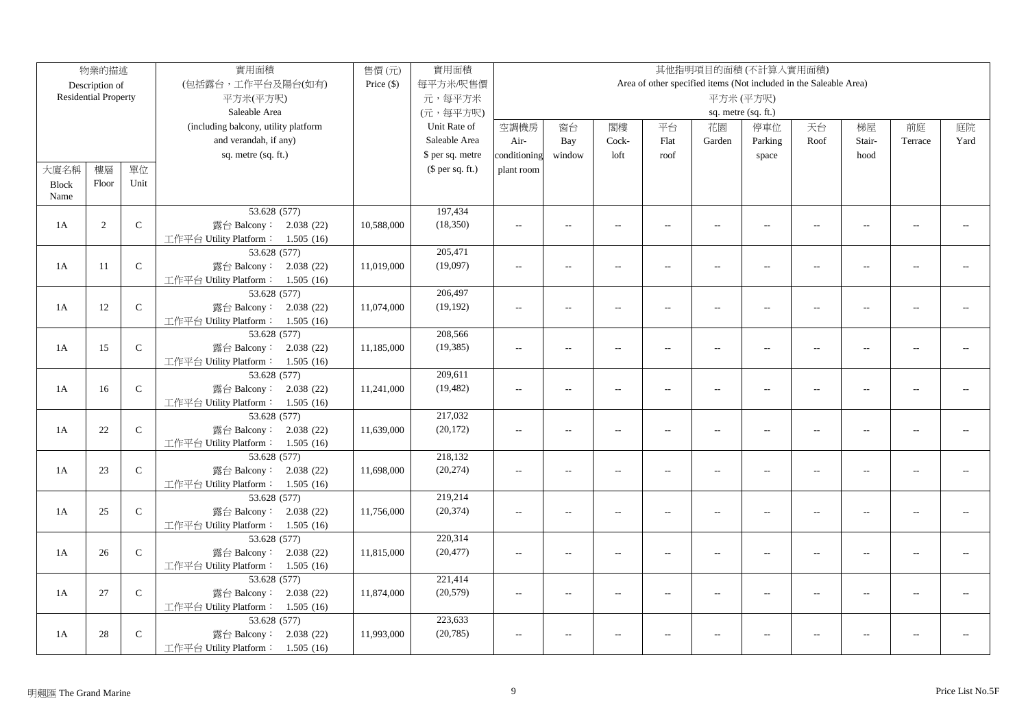|              | 物業的描述                       |               | 實用面積                                 | 售價(元)        | 實用面積             |                |                          |                          |                |                          | 其他指明項目的面積(不計算入實用面積)                                               |                          |                          |                |      |
|--------------|-----------------------------|---------------|--------------------------------------|--------------|------------------|----------------|--------------------------|--------------------------|----------------|--------------------------|-------------------------------------------------------------------|--------------------------|--------------------------|----------------|------|
|              | Description of              |               | (包括露台,工作平台及陽台(如有)                    | Price $(\$)$ | 每平方米/呎售價         |                |                          |                          |                |                          | Area of other specified items (Not included in the Saleable Area) |                          |                          |                |      |
|              | <b>Residential Property</b> |               | 平方米(平方呎)                             |              | 元,每平方米           |                |                          |                          |                |                          | 平方米(平方呎)                                                          |                          |                          |                |      |
|              |                             |               | Saleable Area                        |              | (元,每平方呎)         |                |                          |                          |                |                          | sq. metre (sq. ft.)                                               |                          |                          |                |      |
|              |                             |               | (including balcony, utility platform |              | Unit Rate of     | 空調機房           | 窗台                       | 閣樓                       | 平台             | 花園                       | 停車位                                                               | 天台                       | 梯屋                       | 前庭             | 庭院   |
|              |                             |               | and verandah, if any)                |              | Saleable Area    | Air-           | Bay                      | Cock-                    | Flat           | Garden                   | Parking                                                           | Roof                     | Stair-                   | Terrace        | Yard |
|              |                             |               | sq. metre (sq. ft.)                  |              | \$ per sq. metre | conditioning   | window                   | loft                     | roof           |                          | space                                                             |                          | hood                     |                |      |
| 大廈名稱         | 樓層                          | 單位            |                                      |              | $$$ per sq. ft.) | plant room     |                          |                          |                |                          |                                                                   |                          |                          |                |      |
| <b>Block</b> | Floor                       | Unit          |                                      |              |                  |                |                          |                          |                |                          |                                                                   |                          |                          |                |      |
| Name         |                             |               |                                      |              |                  |                |                          |                          |                |                          |                                                                   |                          |                          |                |      |
|              |                             |               | 53.628 (577)                         |              | 197,434          |                |                          |                          |                |                          |                                                                   |                          |                          |                |      |
| 1A           | 2                           | $\mathcal{C}$ | 露台 Balcony: 2.038 (22)               | 10,588,000   | (18,350)         | $\sim$ $\sim$  | $\sim$                   | $\sim$                   | $\sim$         | $\sim$                   | $\sim$                                                            | $\sim$                   | $\sim$                   | $\overline{a}$ |      |
|              |                             |               | 工作平台 Utility Platform: 1.505 (16)    |              |                  |                |                          |                          |                |                          |                                                                   |                          |                          |                |      |
|              |                             |               | 53.628 (577)                         |              | 205,471          |                |                          |                          |                |                          |                                                                   |                          |                          |                |      |
| 1A           | 11                          | $\mathbf C$   | 露台 Balcony: 2.038 (22)               | 11,019,000   | (19,097)         | $\overline{a}$ | $\overline{a}$           | $\sim$                   | $\sim$         | $\overline{a}$           | $\sim$                                                            | $\sim$                   | $\sim$                   |                |      |
|              |                             |               | 工作平台 Utility Platform: 1.505 (16)    |              |                  |                |                          |                          |                |                          |                                                                   |                          |                          |                |      |
|              |                             |               | 53.628 (577)                         |              | 206,497          |                |                          |                          |                |                          |                                                                   |                          |                          |                |      |
| 1A           | 12                          | $\mathbf C$   | 露台 Balcony: 2.038 (22)               | 11,074,000   | (19, 192)        | $\sim$ $\sim$  | $\sim$                   | $\sim$                   | $\overline{a}$ | $\overline{a}$           | $\sim$                                                            | $\sim$                   | $\overline{a}$           |                |      |
|              |                             |               | 工作平台 Utility Platform: 1.505 (16)    |              |                  |                |                          |                          |                |                          |                                                                   |                          |                          |                |      |
|              |                             |               | 53.628 (577)                         |              | 208,566          |                |                          |                          |                |                          |                                                                   |                          |                          |                |      |
| 1A           | 15                          | ${\bf C}$     | 露台 Balcony: 2.038 (22)               | 11,185,000   | (19, 385)        | $\overline{a}$ | $\overline{\phantom{a}}$ | $\sim$                   | $\overline{a}$ | $\overline{a}$           | $\sim$ $\sim$                                                     | $\sim$                   | $\sim$                   | $\overline{a}$ |      |
|              |                             |               | 工作平台 Utility Platform: 1.505 (16)    |              |                  |                |                          |                          |                |                          |                                                                   |                          |                          |                |      |
|              |                             |               | 53.628 (577)                         |              | 209,611          |                |                          |                          |                |                          |                                                                   |                          |                          |                |      |
| 1A           | 16                          | ${\bf C}$     | 露台 Balcony: 2.038 (22)               | 11,241,000   | (19, 482)        | $\overline{a}$ | $\overline{a}$           | $\overline{a}$           | $\overline{a}$ | $\overline{\phantom{a}}$ | $\overline{\phantom{a}}$                                          | $\overline{\phantom{a}}$ | $\overline{a}$           | $\overline{a}$ |      |
|              |                             |               | 工作平台 Utility Platform: 1.505 (16)    |              |                  |                |                          |                          |                |                          |                                                                   |                          |                          |                |      |
|              |                             |               | 53.628 (577)                         |              | 217,032          |                |                          |                          |                |                          |                                                                   |                          |                          |                |      |
| 1A           | 22                          | ${\bf C}$     | 露台 Balcony: 2.038 (22)               | 11,639,000   | (20, 172)        | $\overline{a}$ | $\overline{\phantom{a}}$ | $\sim$                   | $\sim$         | $\overline{a}$           | $\overline{a}$                                                    | $\sim$                   | $\sim$                   | $\sim$ $\sim$  |      |
|              |                             |               | 工作平台 Utility Platform: 1.505 (16)    |              |                  |                |                          |                          |                |                          |                                                                   |                          |                          |                |      |
|              |                             |               | 53.628 (577)                         |              | 218,132          |                |                          |                          |                |                          |                                                                   |                          |                          |                |      |
| 1A           | 23                          | $\mathbf C$   | 露台 Balcony: 2.038 (22)               | 11,698,000   | (20, 274)        | $\overline{a}$ | $\overline{a}$           | $\overline{a}$           | $\overline{a}$ | $\overline{a}$           | $\overline{\phantom{a}}$                                          | $\overline{\phantom{a}}$ | $\overline{a}$           | $\overline{a}$ |      |
|              |                             |               | 工作平台 Utility Platform: 1.505 (16)    |              |                  |                |                          |                          |                |                          |                                                                   |                          |                          |                |      |
|              |                             |               | 53.628 (577)                         |              | 219,214          |                |                          |                          |                |                          |                                                                   |                          |                          |                |      |
| 1A           | 25                          | $\mathcal{C}$ | 露台 Balcony: 2.038 (22)               | 11,756,000   | (20, 374)        | $\sim$         | $\overline{a}$           | $\overline{a}$           | $\overline{a}$ | $\overline{a}$           | $\overline{\phantom{a}}$                                          | $\overline{\phantom{a}}$ | $\overline{\phantom{a}}$ | $-1$           |      |
|              |                             |               | 工作平台 Utility Platform: 1.505 (16)    |              |                  |                |                          |                          |                |                          |                                                                   |                          |                          |                |      |
|              |                             |               | 53.628 (577)                         |              | 220,314          |                |                          |                          |                |                          |                                                                   |                          |                          |                |      |
| 1A           | 26                          | $\mathbf C$   | 露台 Balcony: 2.038 (22)               | 11,815,000   | (20, 477)        | $\overline{a}$ | $\overline{a}$           | $\overline{a}$           | $\overline{a}$ | $\overline{\phantom{a}}$ | $\overline{a}$                                                    | $\overline{\phantom{a}}$ | $\sim$                   | $\overline{a}$ |      |
|              |                             |               | 工作平台 Utility Platform: 1.505 (16)    |              |                  |                |                          |                          |                |                          |                                                                   |                          |                          |                |      |
|              |                             |               | 53.628 (577)                         |              | 221,414          |                |                          |                          |                |                          |                                                                   |                          |                          |                |      |
| 1A           | 27                          | $\mathcal{C}$ | 露台 Balcony: 2.038 (22)               | 11,874,000   | (20, 579)        | $\sim$ $\sim$  | $\overline{a}$           | $\overline{\phantom{a}}$ | $\overline{a}$ | $\overline{a}$           | $\overline{a}$                                                    | $\sim$                   | $\overline{a}$           | $\overline{a}$ |      |
|              |                             |               | 工作平台 Utility Platform: 1.505 (16)    |              |                  |                |                          |                          |                |                          |                                                                   |                          |                          |                |      |
|              |                             |               | 53.628 (577)                         |              | 223,633          |                |                          |                          |                |                          |                                                                   |                          |                          |                |      |
| 1A           | 28                          | $\mathsf{C}$  | 露台 Balcony: 2.038 (22)               | 11,993,000   | (20, 785)        | $\sim$ $\sim$  | $\overline{a}$           | $\sim$                   |                | $\overline{a}$           | $\sim$ $\sim$                                                     | $\overline{a}$           | $\overline{a}$           | $\overline{a}$ |      |
|              |                             |               | 工作平台 Utility Platform: 1.505 (16)    |              |                  |                |                          |                          |                |                          |                                                                   |                          |                          |                |      |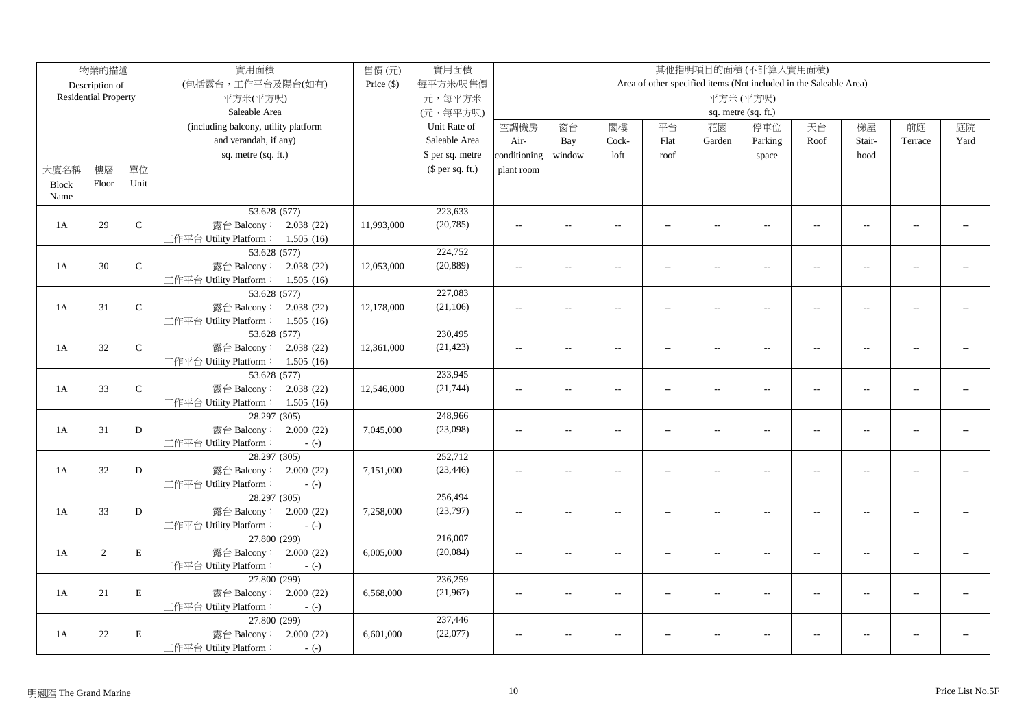|              | 物業的描述                       |               | 實用面積                                   | 售價(元)        | 實用面積             |                |                          |                          |                          |                          | 其他指明項目的面積(不計算入實用面積)                                               |                          |                          |                |      |
|--------------|-----------------------------|---------------|----------------------------------------|--------------|------------------|----------------|--------------------------|--------------------------|--------------------------|--------------------------|-------------------------------------------------------------------|--------------------------|--------------------------|----------------|------|
|              | Description of              |               | (包括露台,工作平台及陽台(如有)                      | Price $(\$)$ | 每平方米/呎售價         |                |                          |                          |                          |                          | Area of other specified items (Not included in the Saleable Area) |                          |                          |                |      |
|              | <b>Residential Property</b> |               | 平方米(平方呎)                               |              | 元,每平方米           |                |                          |                          |                          |                          | 平方米(平方呎)                                                          |                          |                          |                |      |
|              |                             |               | Saleable Area                          |              | (元,每平方呎)         |                |                          |                          |                          |                          | sq. metre (sq. ft.)                                               |                          |                          |                |      |
|              |                             |               | (including balcony, utility platform   |              | Unit Rate of     | 空調機房           | 窗台                       | 閣樓                       | 平台                       | 花園                       | 停車位                                                               | 天台                       | 梯屋                       | 前庭             | 庭院   |
|              |                             |               | and verandah, if any)                  |              | Saleable Area    | Air-           | Bay                      | Cock-                    | Flat                     | Garden                   | Parking                                                           | Roof                     | Stair-                   | Terrace        | Yard |
|              |                             |               | sq. metre (sq. ft.)                    |              | \$ per sq. metre | conditioning   | window                   | loft                     | roof                     |                          | space                                                             |                          | hood                     |                |      |
| 大廈名稱         | 樓層                          | 單位            |                                        |              | $$$ per sq. ft.) | plant room     |                          |                          |                          |                          |                                                                   |                          |                          |                |      |
| <b>Block</b> | Floor                       | Unit          |                                        |              |                  |                |                          |                          |                          |                          |                                                                   |                          |                          |                |      |
| Name         |                             |               |                                        |              |                  |                |                          |                          |                          |                          |                                                                   |                          |                          |                |      |
|              |                             |               | 53.628 (577)                           |              | 223,633          |                |                          |                          |                          |                          |                                                                   |                          |                          |                |      |
| 1A           | 29                          | $\mathcal{C}$ | 露台 Balcony: 2.038 (22)                 | 11,993,000   | (20, 785)        | $\sim$ $\sim$  | $\sim$                   | $\sim$                   | $\sim$                   | $\sim$                   | $\sim$                                                            | $\sim$                   | $\sim$                   | $\overline{a}$ |      |
|              |                             |               | 工作平台 Utility Platform: 1.505 (16)      |              |                  |                |                          |                          |                          |                          |                                                                   |                          |                          |                |      |
|              |                             |               | 53.628 (577)                           |              | 224,752          |                |                          |                          |                          |                          |                                                                   |                          |                          |                |      |
| 1A           | 30                          | $\mathbf C$   | 露台 Balcony: 2.038 (22)                 | 12,053,000   | (20, 889)        | $\overline{a}$ | $\overline{a}$           | $\sim$                   | $\overline{a}$           | $\overline{a}$           | $\sim$                                                            | $\sim$                   | $\sim$                   |                |      |
|              |                             |               | 工作平台 Utility Platform: 1.505 (16)      |              |                  |                |                          |                          |                          |                          |                                                                   |                          |                          |                |      |
|              |                             |               | 53.628 (577)                           |              | 227,083          |                |                          |                          |                          |                          |                                                                   |                          |                          |                |      |
| 1A           | 31                          | $\mathbf C$   | 露台 Balcony: 2.038 (22)                 | 12,178,000   | (21, 106)        | $\sim$ $\sim$  | $\sim$                   | $\sim$                   | $\sim$                   | $\sim$                   | $\sim$                                                            | $\sim$                   | $\sim$                   |                |      |
|              |                             |               | 工作平台 Utility Platform: 1.505 (16)      |              |                  |                |                          |                          |                          |                          |                                                                   |                          |                          |                |      |
|              |                             |               | 53.628 (577)                           |              | 230,495          |                |                          |                          |                          |                          |                                                                   |                          |                          |                |      |
| 1A           | $32\,$                      | ${\bf C}$     | 露台 Balcony: 2.038 (22)                 | 12,361,000   | (21, 423)        | $\overline{a}$ | $\overline{\phantom{a}}$ | $\sim$                   | $\overline{a}$           | $\overline{a}$           | $\sim$ $\sim$                                                     | $\sim$                   | $\sim$                   | $\overline{a}$ |      |
|              |                             |               | 工作平台 Utility Platform: 1.505 (16)      |              |                  |                |                          |                          |                          |                          |                                                                   |                          |                          |                |      |
|              |                             |               | 53.628 (577)                           |              | 233,945          |                |                          |                          |                          |                          |                                                                   |                          |                          |                |      |
| 1A           | 33                          | ${\bf C}$     | 露台 Balcony: 2.038 (22)                 | 12,546,000   | (21, 744)        | $\overline{a}$ | $\overline{a}$           | $\overline{a}$           | $\overline{\phantom{a}}$ | $\overline{\phantom{a}}$ | $\overline{\phantom{a}}$                                          | $\overline{\phantom{a}}$ | $\overline{a}$           | $\overline{a}$ |      |
|              |                             |               | 工作平台 Utility Platform: 1.505 (16)      |              |                  |                |                          |                          |                          |                          |                                                                   |                          |                          |                |      |
|              |                             |               | 28.297 (305)                           |              | 248,966          |                |                          |                          |                          |                          |                                                                   |                          |                          |                |      |
| 1A           | 31                          | D             | 露台 Balcony: 2.000 (22)                 | 7,045,000    | (23,098)         | $\overline{a}$ | $\overline{\phantom{a}}$ | $\sim$                   | $\overline{a}$           | $\overline{a}$           | $\overline{a}$                                                    | $\sim$                   | $\sim$                   | $\sim$ $\sim$  |      |
|              |                             |               | 工作平台 Utility Platform:<br>$-(-)$       |              |                  |                |                          |                          |                          |                          |                                                                   |                          |                          |                |      |
|              |                             |               | 28.297 (305)                           |              | 252,712          |                |                          |                          |                          |                          |                                                                   |                          |                          |                |      |
| 1A           | 32                          | D             | 露台 Balcony: 2.000 (22)                 | 7,151,000    | (23, 446)        | $\overline{a}$ | $\overline{a}$           | $\overline{a}$           | $\overline{\phantom{a}}$ | $\overline{\phantom{a}}$ | $\overline{\phantom{a}}$                                          | $\overline{\phantom{a}}$ | $\overline{a}$           | $\overline{a}$ |      |
|              |                             |               | 工作平台 Utility Platform:<br>$-(-)$       |              |                  |                |                          |                          |                          |                          |                                                                   |                          |                          |                |      |
|              |                             |               | 28.297 (305)                           |              | 256,494          |                |                          |                          |                          |                          |                                                                   |                          |                          |                |      |
| 1A           | 33                          | D             | 露台 Balcony: 2.000 (22)                 | 7,258,000    | (23,797)         | $\sim$         | $\overline{\phantom{a}}$ | $\overline{a}$           | $\overline{a}$           | $\overline{a}$           | $\overline{\phantom{a}}$                                          | $\overline{\phantom{a}}$ | $\overline{\phantom{a}}$ | $-1$           |      |
|              |                             |               | 工作平台 Utility Platform:<br>$-(-)$       |              | 216,007          |                |                          |                          |                          |                          |                                                                   |                          |                          |                |      |
| 1A           | 2                           | $\mathbf E$   | 27.800 (299)<br>露台 Balcony: 2.000 (22) | 6,005,000    | (20,084)         |                |                          |                          |                          |                          |                                                                   |                          |                          | $\overline{a}$ |      |
|              |                             |               | 工作平台 Utility Platform:                 |              |                  | $\overline{a}$ | $\overline{a}$           | $\overline{a}$           | $\overline{a}$           | $\overline{\phantom{a}}$ | $\overline{a}$                                                    | $\overline{\phantom{a}}$ | $\sim$                   |                |      |
|              |                             |               | $-(-)$<br>27.800 (299)                 |              | 236,259          |                |                          |                          |                          |                          |                                                                   |                          |                          |                |      |
| 1A           | 21                          | $\mathbf E$   | 露台 Balcony: 2.000 (22)                 | 6,568,000    | (21,967)         | $\sim$ $\sim$  | $\overline{a}$           | $\overline{\phantom{a}}$ | $\overline{a}$           | $\overline{a}$           | $\overline{a}$                                                    | $\sim$                   | $\overline{a}$           | $\overline{a}$ |      |
|              |                             |               | 工作平台 Utility Platform:<br>$-(-)$       |              |                  |                |                          |                          |                          |                          |                                                                   |                          |                          |                |      |
|              |                             |               | 27.800 (299)                           |              | 237,446          |                |                          |                          |                          |                          |                                                                   |                          |                          |                |      |
| 1A           | 22                          | $\,$ E        | 露台 Balcony: 2.000 (22)                 | 6,601,000    | (22,077)         | $\sim$ $\sim$  | $\overline{a}$           | $\sim$                   |                          | $\overline{a}$           | $\sim$ $\sim$                                                     | $\overline{a}$           | $\overline{a}$           | $\overline{a}$ |      |
|              |                             |               | 工作平台 Utility Platform:<br>$-(-)$       |              |                  |                |                          |                          |                          |                          |                                                                   |                          |                          |                |      |
|              |                             |               |                                        |              |                  |                |                          |                          |                          |                          |                                                                   |                          |                          |                |      |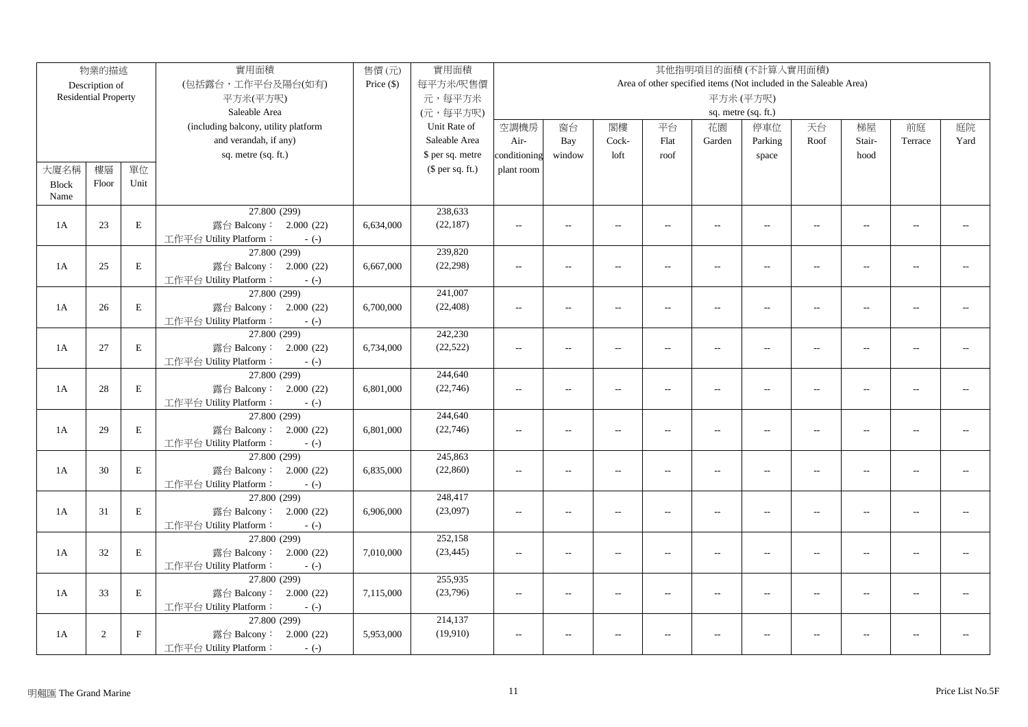|              | 物業的描述                                |              | 實用面積                                   | 售價(元)        | 實用面積             | 其他指明項目的面積(不計算入實用面積) |                                         |                          |                |                          |                                                                   |                          |                |                |      |
|--------------|--------------------------------------|--------------|----------------------------------------|--------------|------------------|---------------------|-----------------------------------------|--------------------------|----------------|--------------------------|-------------------------------------------------------------------|--------------------------|----------------|----------------|------|
|              | Description of                       |              | (包括露台,工作平台及陽台(如有)                      | Price $(\$)$ | 每平方米/呎售價         |                     |                                         |                          |                |                          | Area of other specified items (Not included in the Saleable Area) |                          |                |                |      |
|              | <b>Residential Property</b>          |              | 平方米(平方呎)                               |              | 元,每平方米           |                     |                                         |                          |                |                          | 平方米(平方呎)                                                          |                          |                |                |      |
|              |                                      |              | Saleable Area                          |              | (元,每平方呎)         |                     | sq. metre (sq. ft.)                     |                          |                |                          |                                                                   |                          |                |                |      |
|              | (including balcony, utility platform |              |                                        |              | Unit Rate of     | 空調機房                | 閣樓<br>平台<br>停車位<br>窗台<br>花園<br>天台<br>梯屋 |                          |                |                          |                                                                   |                          |                | 前庭             | 庭院   |
|              |                                      |              | and verandah, if any)                  |              | Saleable Area    | Air-                | Bay                                     | Cock-                    | Flat           | Garden                   | Parking                                                           | Roof                     | Stair-         | Terrace        | Yard |
|              |                                      |              | sq. metre (sq. ft.)                    |              | \$ per sq. metre | conditioning        | window                                  | loft                     | roof           |                          | space                                                             |                          | hood           |                |      |
| 大廈名稱         | 樓層                                   | 單位           |                                        |              | $$$ per sq. ft.) | plant room          |                                         |                          |                |                          |                                                                   |                          |                |                |      |
| <b>Block</b> | Floor                                | Unit         |                                        |              |                  |                     |                                         |                          |                |                          |                                                                   |                          |                |                |      |
| Name         |                                      |              |                                        |              |                  |                     |                                         |                          |                |                          |                                                                   |                          |                |                |      |
|              |                                      |              | 27.800 (299)                           |              | 238,633          |                     |                                         |                          |                |                          |                                                                   |                          |                |                |      |
| 1A           | 23                                   | $\mathbf E$  | 露台 Balcony: 2.000 (22)                 | 6,634,000    | (22, 187)        | $\sim$ $\sim$       | $\sim$                                  | $\sim$                   | $\sim$         | $\sim$                   | $\sim$                                                            | $\sim$                   | $\sim$         | $\overline{a}$ |      |
|              |                                      |              | 工作平台 Utility Platform:<br>$-(-)$       |              |                  |                     |                                         |                          |                |                          |                                                                   |                          |                |                |      |
|              |                                      |              | 27.800 (299)                           |              | 239,820          |                     |                                         |                          |                |                          |                                                                   |                          |                |                |      |
| 1A           | 25                                   | $\mathbf E$  | 露台 Balcony: 2.000 (22)                 | 6,667,000    | (22, 298)        | $\overline{a}$      | $\overline{a}$                          | $\sim$                   | $\sim$         | $\overline{a}$           | $\sim$                                                            | $\overline{a}$           | $\sim$         |                |      |
|              |                                      |              | 工作平台 Utility Platform:<br>$-(-)$       |              |                  |                     |                                         |                          |                |                          |                                                                   |                          |                |                |      |
|              |                                      |              | 27.800 (299)                           |              | 241,007          |                     |                                         |                          |                |                          |                                                                   |                          |                |                |      |
| 1A           | 26                                   | $\mathbf E$  | 露台 Balcony: 2.000 (22)                 | 6,700,000    | (22, 408)        | $\sim$ $\sim$       | $\sim$                                  | $\sim$                   | $\sim$         | $\sim$                   | $\sim$                                                            | $\sim$                   | $\sim$         |                |      |
|              |                                      |              | 工作平台 Utility Platform:<br>$-(-)$       |              |                  |                     |                                         |                          |                |                          |                                                                   |                          |                |                |      |
|              |                                      |              | 27.800 (299)                           |              | 242,230          |                     |                                         |                          |                |                          |                                                                   |                          |                |                |      |
| 1A           | 27                                   | $\mathbf E$  | 露台 Balcony: 2.000 (22)                 | 6,734,000    | (22, 522)        | $\sim$              | $\overline{\phantom{a}}$                | $\sim$                   | $\overline{a}$ | $\overline{a}$           | $\overline{a}$                                                    | $\sim$                   | $\sim$         | $\overline{a}$ |      |
|              |                                      |              | 工作平台 Utility Platform:<br>$-(-)$       |              |                  |                     |                                         |                          |                |                          |                                                                   |                          |                |                |      |
|              |                                      |              | 27.800 (299)                           |              | 244,640          |                     |                                         |                          |                |                          |                                                                   |                          |                |                |      |
| 1A           | 28                                   | $\mathbf E$  | 露台 Balcony: 2.000 (22)                 | 6,801,000    | (22, 746)        | $\overline{a}$      | $\overline{a}$                          | $\overline{a}$           | $\overline{a}$ | $\overline{\phantom{a}}$ | $\overline{\phantom{a}}$                                          | $\overline{\phantom{a}}$ | $\overline{a}$ | $\overline{a}$ |      |
|              |                                      |              | 工作平台 Utility Platform:<br>$-(-)$       |              |                  |                     |                                         |                          |                |                          |                                                                   |                          |                |                |      |
|              |                                      |              | 27.800 (299)                           |              | 244,640          |                     |                                         |                          |                |                          |                                                                   |                          |                |                |      |
| 1A           | 29                                   | $\mathbf E$  | 露台 Balcony: 2.000 (22)                 | 6,801,000    | (22, 746)        | $\overline{a}$      | $\overline{\phantom{a}}$                | $\sim$                   | $\sim$         | $\overline{a}$           | $\overline{a}$                                                    | $\sim$                   | $\sim$         | $\sim$ $\sim$  |      |
|              |                                      |              | 工作平台 Utility Platform:<br>$-(-)$       |              |                  |                     |                                         |                          |                |                          |                                                                   |                          |                |                |      |
|              |                                      |              | 27.800 (299)                           |              | 245,863          |                     |                                         |                          |                |                          |                                                                   |                          |                |                |      |
| 1A           | 30                                   | $\mathbf E$  | 露台 Balcony: 2.000 (22)                 | 6,835,000    | (22, 860)        | $\overline{a}$      | $\overline{a}$                          | $\overline{a}$           | $\overline{a}$ | $\overline{\phantom{a}}$ | $\overline{\phantom{a}}$                                          | $\overline{\phantom{a}}$ | $\overline{a}$ | $\overline{a}$ |      |
|              |                                      |              | 工作平台 Utility Platform:<br>$-(-)$       |              |                  |                     |                                         |                          |                |                          |                                                                   |                          |                |                |      |
|              |                                      |              | 27.800 (299)                           |              | 248,417          |                     |                                         |                          |                |                          |                                                                   |                          |                |                |      |
| 1A           | 31                                   | $\mathbf E$  | 露台 Balcony: 2.000 (22)                 | 6,906,000    | (23,097)         | $\overline{a}$      | $\overline{\phantom{a}}$                | $\overline{a}$           | $\overline{a}$ | $\overline{\phantom{a}}$ | $\overline{\phantom{a}}$                                          | $\overline{\phantom{a}}$ | $\overline{a}$ | $-1$           |      |
|              |                                      |              | 工作平台 Utility Platform:<br>$-(-)$       |              | 252,158          |                     |                                         |                          |                |                          |                                                                   |                          |                |                |      |
| 1A           |                                      | $\mathbf E$  | 27.800 (299)<br>露台 Balcony: 2.000 (22) |              | (23, 445)        |                     |                                         |                          |                |                          |                                                                   |                          |                | $\overline{a}$ |      |
|              | 32                                   |              | 工作平台 Utility Platform:                 | 7,010,000    |                  | $\overline{a}$      | $\overline{a}$                          | $\overline{a}$           | $\overline{a}$ | $\overline{\phantom{a}}$ | $\overline{a}$                                                    | $\overline{\phantom{a}}$ | $\overline{a}$ |                |      |
|              |                                      |              | $-(-)$<br>27.800 (299)                 |              | 255,935          |                     |                                         |                          |                |                          |                                                                   |                          |                |                |      |
| 1A           | 33                                   | $\mathbf E$  | 露台 Balcony: 2.000 (22)                 | 7,115,000    | (23,796)         | $\sim$ $\sim$       | $\overline{a}$                          | $\overline{\phantom{a}}$ |                | $\overline{a}$           |                                                                   | $\sim$                   |                |                |      |
|              |                                      |              | 工作平台 Utility Platform:<br>$-(-)$       |              |                  |                     |                                         |                          | $\overline{a}$ |                          | $\overline{a}$                                                    |                          | $\overline{a}$ |                |      |
|              |                                      |              | 27.800 (299)                           |              | 214,137          |                     |                                         |                          |                |                          |                                                                   |                          |                |                |      |
| 1A           | 2                                    | $\mathbf{F}$ | 露台 Balcony: 2.000 (22)                 | 5,953,000    | (19,910)         | $\sim$ $\sim$       | $\overline{a}$                          | $\sim$                   |                | $\overline{a}$           | $\sim$ $\sim$                                                     | $\overline{a}$           | $\overline{a}$ | $\sim$         |      |
|              |                                      |              | 工作平台 Utility Platform:<br>$-(-)$       |              |                  |                     |                                         |                          |                |                          |                                                                   |                          |                |                |      |
|              |                                      |              |                                        |              |                  |                     |                                         |                          |                |                          |                                                                   |                          |                |                |      |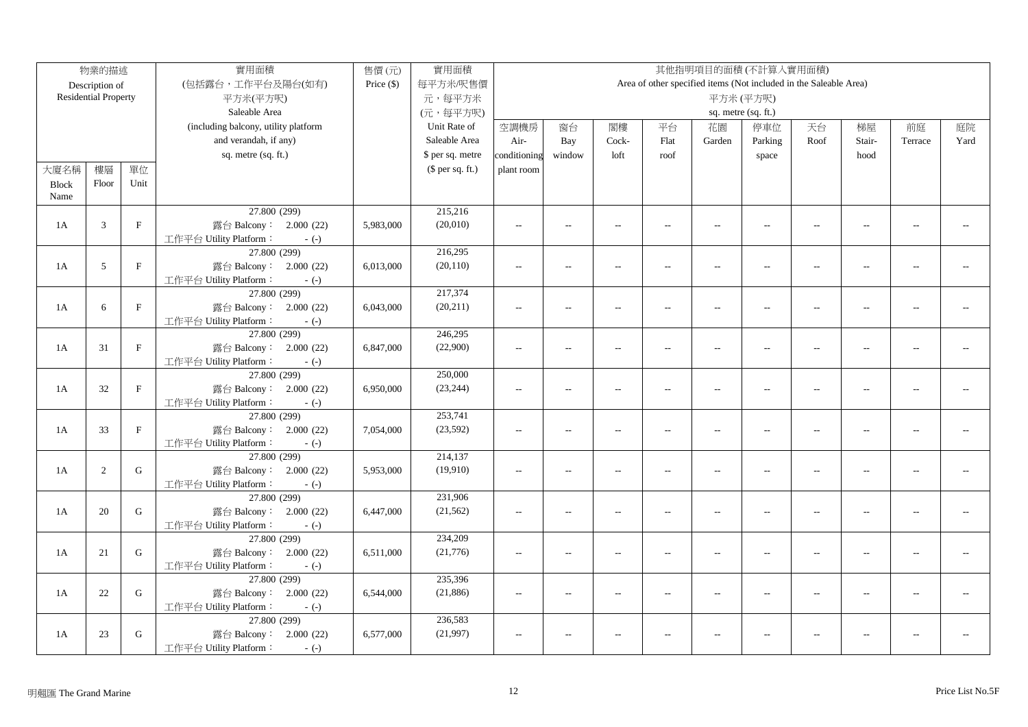|              | 物業的描述                                |              | 實用面積                                   | 售價(元)        | 實用面積             | 其他指明項目的面積(不計算入實用面積) |                                         |                          |                          |                          |                                                                   |                          |                |                |      |
|--------------|--------------------------------------|--------------|----------------------------------------|--------------|------------------|---------------------|-----------------------------------------|--------------------------|--------------------------|--------------------------|-------------------------------------------------------------------|--------------------------|----------------|----------------|------|
|              | Description of                       |              | (包括露台,工作平台及陽台(如有)                      | Price $(\$)$ | 每平方米/呎售價         |                     |                                         |                          |                          |                          | Area of other specified items (Not included in the Saleable Area) |                          |                |                |      |
|              | <b>Residential Property</b>          |              | 平方米(平方呎)                               |              | 元,每平方米           |                     |                                         |                          |                          |                          | 平方米(平方呎)                                                          |                          |                |                |      |
|              |                                      |              | Saleable Area                          |              | (元,每平方呎)         |                     | sq. metre (sq. ft.)                     |                          |                          |                          |                                                                   |                          |                |                |      |
|              | (including balcony, utility platform |              |                                        |              | Unit Rate of     | 空調機房                | 閣樓<br>平台<br>停車位<br>窗台<br>花園<br>天台<br>梯屋 |                          |                          |                          |                                                                   |                          |                | 前庭             | 庭院   |
|              |                                      |              | and verandah, if any)                  |              | Saleable Area    | Air-                | Bay                                     | Cock-                    | Flat                     | Garden                   | Parking                                                           | Roof                     | Stair-         | Terrace        | Yard |
|              |                                      |              | sq. metre (sq. ft.)                    |              | \$ per sq. metre | conditioning        | window                                  | loft                     | roof                     |                          | space                                                             |                          | hood           |                |      |
| 大廈名稱         | 樓層                                   | 單位           |                                        |              | $$$ per sq. ft.) | plant room          |                                         |                          |                          |                          |                                                                   |                          |                |                |      |
| <b>Block</b> | Floor                                | Unit         |                                        |              |                  |                     |                                         |                          |                          |                          |                                                                   |                          |                |                |      |
| Name         |                                      |              |                                        |              |                  |                     |                                         |                          |                          |                          |                                                                   |                          |                |                |      |
|              |                                      |              | 27.800 (299)                           |              | 215,216          |                     |                                         |                          |                          |                          |                                                                   |                          |                |                |      |
| 1A           | 3                                    | $\mathbf F$  | 露台 Balcony: 2.000 (22)                 | 5,983,000    | (20,010)         | $\sim$ $\sim$       | $\overline{a}$                          | $\sim$                   | $\sim$                   | $\sim$                   | $\sim$                                                            | $\sim$                   | $\sim$         | $\overline{a}$ |      |
|              |                                      |              | 工作平台 Utility Platform:<br>$-(-)$       |              |                  |                     |                                         |                          |                          |                          |                                                                   |                          |                |                |      |
|              |                                      |              | 27.800 (299)                           |              | 216,295          |                     |                                         |                          |                          |                          |                                                                   |                          |                |                |      |
| 1A           | 5                                    | $\mathbf{F}$ | 露台 Balcony: 2.000 (22)                 | 6,013,000    | (20, 110)        | $\sim$              | $\overline{a}$                          | $\sim$                   | $\overline{a}$           | $\overline{a}$           | $\sim$                                                            | $\overline{a}$           | $\sim$         |                |      |
|              |                                      |              | 工作平台 Utility Platform:<br>$-(-)$       |              |                  |                     |                                         |                          |                          |                          |                                                                   |                          |                |                |      |
|              |                                      |              | 27.800 (299)                           |              | 217,374          |                     |                                         |                          |                          |                          |                                                                   |                          |                |                |      |
| 1A           | 6                                    | $\mathbf F$  | 露台 Balcony: 2.000 (22)                 | 6,043,000    | (20, 211)        | $\sim$ $\sim$       | $\sim$                                  | $\sim$                   | $\sim$                   | $\sim$                   | $\sim$                                                            | $\sim$                   | $\sim$         |                |      |
|              |                                      |              | 工作平台 Utility Platform:<br>$-(-)$       |              |                  |                     |                                         |                          |                          |                          |                                                                   |                          |                |                |      |
|              |                                      |              | 27.800 (299)                           |              | 246,295          |                     |                                         |                          |                          |                          |                                                                   |                          |                |                |      |
| 1A           | 31                                   | $\mathbf F$  | 露台 Balcony: 2.000 (22)                 | 6,847,000    | (22,900)         | $\sim$              | $\overline{\phantom{a}}$                | $\sim$                   | $\overline{a}$           | $\overline{a}$           | $\overline{a}$                                                    | $\sim$                   | $\sim$         | $\overline{a}$ |      |
|              |                                      |              | 工作平台 Utility Platform:<br>$-(-)$       |              |                  |                     |                                         |                          |                          |                          |                                                                   |                          |                |                |      |
|              |                                      |              | 27.800 (299)                           |              | 250,000          |                     |                                         |                          |                          |                          |                                                                   |                          |                |                |      |
| 1A           | 32                                   | $\mathbf{F}$ | 露台 Balcony: 2.000 (22)                 | 6,950,000    | (23, 244)        | $\overline{a}$      | $\overline{a}$                          | $\overline{a}$           | $\overline{\phantom{a}}$ | $\overline{\phantom{a}}$ | $\overline{\phantom{a}}$                                          | $\overline{\phantom{a}}$ | $\overline{a}$ | $\overline{a}$ |      |
|              |                                      |              | 工作平台 Utility Platform:<br>$-(-)$       |              |                  |                     |                                         |                          |                          |                          |                                                                   |                          |                |                |      |
|              |                                      |              | 27.800 (299)                           |              | 253,741          |                     |                                         |                          |                          |                          |                                                                   |                          |                |                |      |
| 1A           | 33                                   | $\mathbf F$  | 露台 Balcony: 2.000 (22)                 | 7,054,000    | (23, 592)        | $\overline{a}$      | $\overline{\phantom{a}}$                | $\sim$                   | $\overline{a}$           | $\overline{a}$           | $\overline{a}$                                                    | $\sim$                   | $\sim$         | $\sim$ $\sim$  |      |
|              |                                      |              | 工作平台 Utility Platform:<br>$-(-)$       |              |                  |                     |                                         |                          |                          |                          |                                                                   |                          |                |                |      |
|              |                                      |              | 27.800 (299)                           |              | 214,137          |                     |                                         |                          |                          |                          |                                                                   |                          |                |                |      |
| 1A           | 2                                    | $\mathbf G$  | 露台 Balcony: 2.000 (22)                 | 5,953,000    | (19,910)         | $\overline{a}$      | $\overline{a}$                          | $\overline{a}$           | $\overline{\phantom{a}}$ | $\overline{\phantom{a}}$ | $\overline{\phantom{a}}$                                          | $\overline{\phantom{a}}$ | $\overline{a}$ | $\overline{a}$ |      |
|              |                                      |              | 工作平台 Utility Platform:<br>$-(-)$       |              |                  |                     |                                         |                          |                          |                          |                                                                   |                          |                |                |      |
|              |                                      |              | 27.800 (299)                           |              | 231,906          |                     |                                         |                          |                          |                          |                                                                   |                          |                |                |      |
| 1A           | 20                                   | G            | 露台 Balcony: 2.000 (22)                 | 6,447,000    | (21, 562)        | $\overline{a}$      | $\overline{\phantom{a}}$                | $\overline{a}$           | $\overline{a}$           | $\overline{\phantom{a}}$ | $\overline{\phantom{a}}$                                          | $\overline{\phantom{a}}$ | $\overline{a}$ | $-1$           |      |
|              |                                      |              | 工作平台 Utility Platform:<br>$-(-)$       |              | 234,209          |                     |                                         |                          |                          |                          |                                                                   |                          |                |                |      |
| 1A           | 21                                   | G            | 27.800 (299)<br>露台 Balcony: 2.000 (22) |              | (21, 776)        |                     |                                         |                          |                          |                          |                                                                   |                          |                | $\overline{a}$ |      |
|              |                                      |              | 工作平台 Utility Platform:                 | 6,511,000    |                  | $\overline{a}$      | $\overline{a}$                          | $\overline{a}$           | $\overline{a}$           | $\overline{\phantom{a}}$ | $\overline{a}$                                                    | $\overline{\phantom{a}}$ | $\overline{a}$ |                |      |
|              |                                      |              | $-(-)$<br>27.800 (299)                 |              | 235,396          |                     |                                         |                          |                          |                          |                                                                   |                          |                |                |      |
| 1A           | 22                                   | $\mathbf G$  | 露台 Balcony: 2.000 (22)                 | 6,544,000    | (21, 886)        | $\sim$ $\sim$       | $\overline{a}$                          | $\overline{\phantom{a}}$ | $\overline{a}$           | $\overline{a}$           | $\overline{a}$                                                    | $\sim$                   | $\overline{a}$ |                |      |
|              |                                      |              | 工作平台 Utility Platform:<br>$-(-)$       |              |                  |                     |                                         |                          |                          |                          |                                                                   |                          |                |                |      |
|              |                                      |              | 27.800 (299)                           |              | 236,583          |                     |                                         |                          |                          |                          |                                                                   |                          |                |                |      |
| 1A           | 23                                   | $\mathsf G$  | 露台 Balcony: 2.000 (22)                 | 6,577,000    | (21,997)         | $\sim$ $\sim$       | $\overline{a}$                          | $\sim$                   |                          | $\overline{a}$           | $\sim$ $\sim$                                                     | $\overline{a}$           | $\overline{a}$ | $\sim$         |      |
|              |                                      |              | 工作平台 Utility Platform:<br>$-(-)$       |              |                  |                     |                                         |                          |                          |                          |                                                                   |                          |                |                |      |
|              |                                      |              |                                        |              |                  |                     |                                         |                          |                          |                          |                                                                   |                          |                |                |      |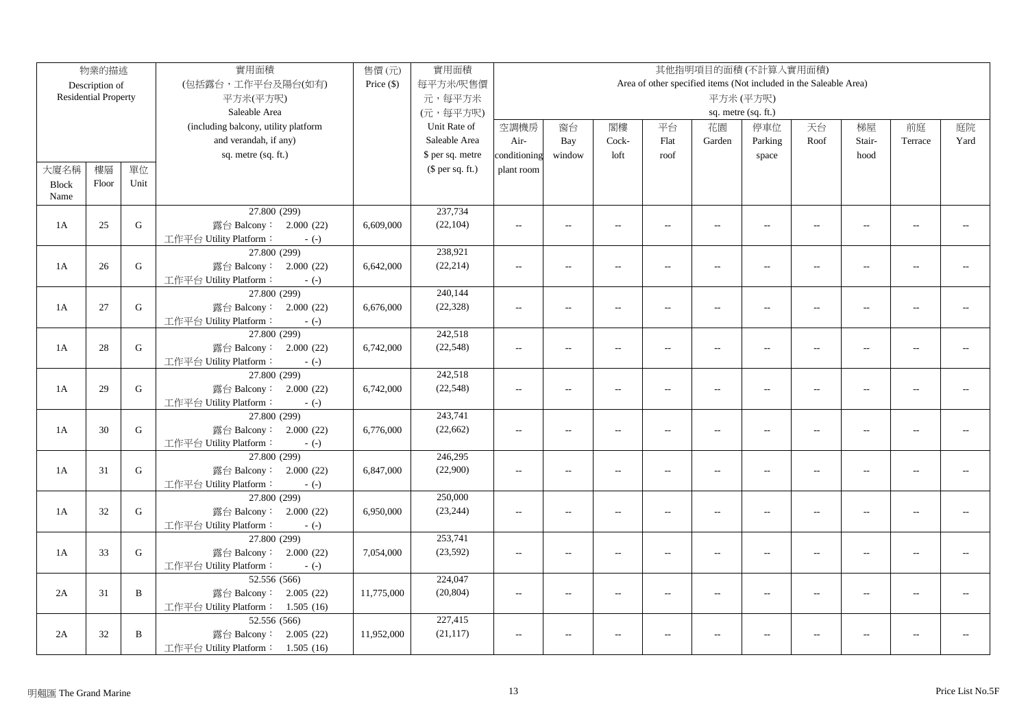|              | 物業的描述                                |             | 實用面積                                   | 售價(元)        | 實用面積             | 其他指明項目的面積(不計算入實用面積) |                                         |                          |                          |                          |                                                                   |                          |                          |                |      |
|--------------|--------------------------------------|-------------|----------------------------------------|--------------|------------------|---------------------|-----------------------------------------|--------------------------|--------------------------|--------------------------|-------------------------------------------------------------------|--------------------------|--------------------------|----------------|------|
|              | Description of                       |             | (包括露台,工作平台及陽台(如有)                      | Price $(\$)$ | 每平方米/呎售價         |                     |                                         |                          |                          |                          | Area of other specified items (Not included in the Saleable Area) |                          |                          |                |      |
|              | <b>Residential Property</b>          |             | 平方米(平方呎)                               |              | 元,每平方米           |                     |                                         |                          |                          |                          | 平方米(平方呎)                                                          |                          |                          |                |      |
|              |                                      |             | Saleable Area                          |              | (元,每平方呎)         |                     | sq. metre (sq. ft.)                     |                          |                          |                          |                                                                   |                          |                          |                |      |
|              | (including balcony, utility platform |             |                                        |              | Unit Rate of     | 空調機房                | 閣樓<br>停車位<br>窗台<br>平台<br>花園<br>天台<br>梯屋 |                          |                          |                          |                                                                   |                          |                          | 前庭             | 庭院   |
|              |                                      |             | and verandah, if any)                  |              | Saleable Area    | Air-                | Bay                                     | Cock-                    | Flat                     | Garden                   | Parking                                                           | Roof                     | Stair-                   | Terrace        | Yard |
|              |                                      |             | sq. metre (sq. ft.)                    |              | \$ per sq. metre | conditioning        | window                                  | loft                     | roof                     |                          | space                                                             |                          | hood                     |                |      |
| 大廈名稱         | 樓層                                   | 單位          |                                        |              | $$$ per sq. ft.) | plant room          |                                         |                          |                          |                          |                                                                   |                          |                          |                |      |
| <b>Block</b> | Floor                                | Unit        |                                        |              |                  |                     |                                         |                          |                          |                          |                                                                   |                          |                          |                |      |
| Name         |                                      |             |                                        |              |                  |                     |                                         |                          |                          |                          |                                                                   |                          |                          |                |      |
|              |                                      |             | 27.800 (299)                           |              | 237,734          |                     |                                         |                          |                          |                          |                                                                   |                          |                          |                |      |
| 1A           | 25                                   | G           | 露台 Balcony: 2.000 (22)                 | 6,609,000    | (22, 104)        | $\sim$ $\sim$       | $\overline{a}$                          | $\sim$                   | $\sim$                   | $\sim$                   | $\sim$                                                            | $\sim$                   | $\sim$                   | $\overline{a}$ |      |
|              |                                      |             | 工作平台 Utility Platform:<br>$-(-)$       |              |                  |                     |                                         |                          |                          |                          |                                                                   |                          |                          |                |      |
|              |                                      |             | 27.800 (299)                           |              | 238,921          |                     |                                         |                          |                          |                          |                                                                   |                          |                          |                |      |
| 1A           | 26                                   | G           | 露台 Balcony: 2.000 (22)                 | 6,642,000    | (22, 214)        | $\overline{a}$      | $\overline{a}$                          | $\sim$                   | $\overline{a}$           | $\overline{a}$           | $\sim$                                                            | $\sim$                   | $\sim$                   |                |      |
|              |                                      |             | 工作平台 Utility Platform:<br>$-(-)$       |              |                  |                     |                                         |                          |                          |                          |                                                                   |                          |                          |                |      |
|              |                                      |             | 27.800 (299)                           |              | 240,144          |                     |                                         |                          |                          |                          |                                                                   |                          |                          |                |      |
| 1A           | 27                                   | $\mathbf G$ | 露台 Balcony: 2.000 (22)                 | 6,676,000    | (22, 328)        | $\sim$ $\sim$       | $\sim$                                  | $\sim$                   | $\sim$                   | $\sim$                   | $\sim$                                                            | $\sim$                   | $\sim$                   |                |      |
|              |                                      |             | 工作平台 Utility Platform:<br>$-(-)$       |              |                  |                     |                                         |                          |                          |                          |                                                                   |                          |                          |                |      |
|              |                                      |             | 27.800 (299)                           |              | 242,518          |                     |                                         |                          |                          |                          |                                                                   |                          |                          |                |      |
| 1A           | 28                                   | ${\bf G}$   | 露台 Balcony: 2.000 (22)                 | 6,742,000    | (22, 548)        | $\sim$              | $\overline{\phantom{a}}$                | $\sim$                   | $\overline{a}$           | $\overline{a}$           | $\sim$ $\sim$                                                     | $\sim$                   | $\sim$                   | $\overline{a}$ |      |
|              |                                      |             | 工作平台 Utility Platform:<br>$-(-)$       |              |                  |                     |                                         |                          |                          |                          |                                                                   |                          |                          |                |      |
|              |                                      |             | 27.800 (299)                           |              | 242,518          |                     |                                         |                          |                          |                          |                                                                   |                          |                          |                |      |
| 1A           | 29                                   | G           | 露台 Balcony: 2.000 (22)                 | 6,742,000    | (22, 548)        | $\overline{a}$      | $\overline{a}$                          | $\overline{a}$           | $\overline{\phantom{a}}$ | $\overline{\phantom{a}}$ | $\overline{\phantom{a}}$                                          | $\overline{\phantom{a}}$ | $\overline{a}$           | $\overline{a}$ |      |
|              |                                      |             | 工作平台 Utility Platform:<br>$-(-)$       |              |                  |                     |                                         |                          |                          |                          |                                                                   |                          |                          |                |      |
|              |                                      |             | 27.800 (299)                           |              | 243,741          |                     |                                         |                          |                          |                          |                                                                   |                          |                          |                |      |
| 1A           | 30                                   | ${\bf G}$   | 露台 Balcony: 2.000 (22)                 | 6,776,000    | (22, 662)        | $\overline{a}$      | $\overline{\phantom{a}}$                | $\sim$                   | $\overline{a}$           | $\overline{a}$           | $\overline{a}$                                                    | $\sim$                   | $\sim$                   | $\sim$ $\sim$  |      |
|              |                                      |             | 工作平台 Utility Platform:<br>$-(-)$       |              |                  |                     |                                         |                          |                          |                          |                                                                   |                          |                          |                |      |
|              |                                      |             | 27.800 (299)                           |              | 246,295          |                     |                                         |                          |                          |                          |                                                                   |                          |                          |                |      |
| 1A           | 31                                   | $\mathbf G$ | 露台 Balcony: 2.000 (22)                 | 6,847,000    | (22,900)         | $\overline{a}$      | $\overline{a}$                          | $\overline{a}$           | $\overline{\phantom{a}}$ | $\overline{\phantom{a}}$ | $\overline{\phantom{a}}$                                          | $\overline{\phantom{a}}$ | $\overline{a}$           | $\overline{a}$ |      |
|              |                                      |             | 工作平台 Utility Platform:<br>$-(-)$       |              |                  |                     |                                         |                          |                          |                          |                                                                   |                          |                          |                |      |
|              |                                      |             | 27.800 (299)                           |              | 250,000          |                     |                                         |                          |                          |                          |                                                                   |                          |                          |                |      |
| 1A           | 32                                   | G           | 露台 Balcony: 2.000 (22)                 | 6,950,000    | (23, 244)        | $\sim$              | $\overline{\phantom{a}}$                | $\overline{a}$           | $\overline{a}$           | $\overline{\phantom{a}}$ | $\overline{\phantom{a}}$                                          | $\overline{\phantom{a}}$ | $\overline{\phantom{a}}$ | $-1$           |      |
|              |                                      |             | 工作平台 Utility Platform:<br>$-(-)$       |              | 253,741          |                     |                                         |                          |                          |                          |                                                                   |                          |                          |                |      |
| 1A           | 33                                   | G           | 27.800 (299)<br>露台 Balcony: 2.000 (22) | 7,054,000    | (23, 592)        |                     |                                         |                          |                          |                          |                                                                   |                          |                          | $\overline{a}$ |      |
|              |                                      |             | 工作平台 Utility Platform:                 |              |                  | $\overline{a}$      | $\overline{a}$                          | $\overline{a}$           | $\overline{a}$           | $\overline{\phantom{a}}$ | $\overline{a}$                                                    | $\overline{\phantom{a}}$ | $\overline{a}$           |                |      |
|              |                                      |             | $-(-)$<br>52.556 (566)                 |              | 224,047          |                     |                                         |                          |                          |                          |                                                                   |                          |                          |                |      |
| 2A           | 31                                   | B           | 露台 Balcony: 2.005 (22)                 | 11,775,000   | (20, 804)        | $\sim$ $\sim$       | $\overline{a}$                          | $\overline{\phantom{a}}$ | $\overline{a}$           | $\overline{a}$           | $\overline{a}$                                                    | $\sim$                   | $\overline{a}$           |                |      |
|              |                                      |             | 工作平台 Utility Platform: 1.505 (16)      |              |                  |                     |                                         |                          |                          |                          |                                                                   |                          |                          |                |      |
|              |                                      |             | 52.556 (566)                           |              | 227,415          |                     |                                         |                          |                          |                          |                                                                   |                          |                          |                |      |
| 2A           | 32                                   | B           | 露台 Balcony: 2.005 (22)                 | 11,952,000   | (21, 117)        | $\sim$ $\sim$       | $\overline{a}$                          | $\sim$                   |                          | $\overline{a}$           | $\sim$ $\sim$                                                     | $\overline{a}$           | $\overline{a}$           | $\overline{a}$ |      |
|              |                                      |             | 工作平台 Utility Platform: 1.505 (16)      |              |                  |                     |                                         |                          |                          |                          |                                                                   |                          |                          |                |      |
|              |                                      |             |                                        |              |                  |                     |                                         |                          |                          |                          |                                                                   |                          |                          |                |      |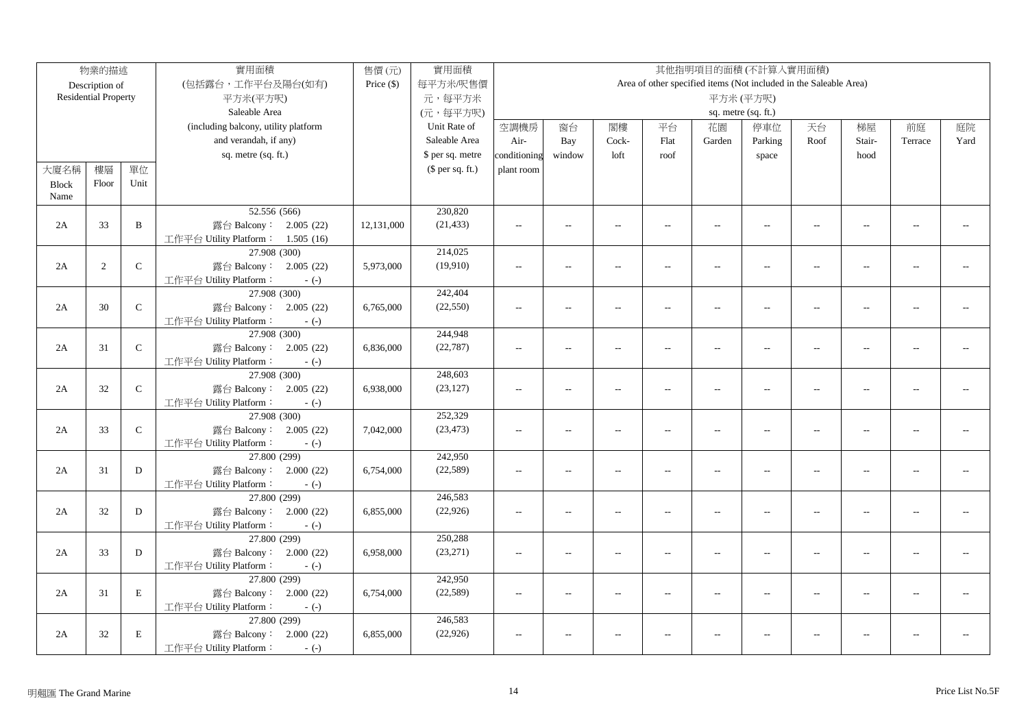|              | 物業的描述                                |              | 實用面積                                   | 售價(元)        | 實用面積             | 其他指明項目的面積(不計算入實用面積) |                                         |                          |                |                          |                                                                   |                          |                |                |      |
|--------------|--------------------------------------|--------------|----------------------------------------|--------------|------------------|---------------------|-----------------------------------------|--------------------------|----------------|--------------------------|-------------------------------------------------------------------|--------------------------|----------------|----------------|------|
|              | Description of                       |              | (包括露台,工作平台及陽台(如有)                      | Price $(\$)$ | 每平方米/呎售價         |                     |                                         |                          |                |                          | Area of other specified items (Not included in the Saleable Area) |                          |                |                |      |
|              | <b>Residential Property</b>          |              | 平方米(平方呎)                               |              | 元,每平方米           |                     |                                         |                          |                |                          | 平方米(平方呎)                                                          |                          |                |                |      |
|              |                                      |              | Saleable Area                          |              | (元,每平方呎)         |                     | sq. metre (sq. ft.)                     |                          |                |                          |                                                                   |                          |                |                |      |
|              | (including balcony, utility platform |              |                                        |              | Unit Rate of     | 空調機房                | 停車位<br>窗台<br>閣樓<br>平台<br>花園<br>天台<br>梯屋 |                          |                |                          |                                                                   |                          |                |                | 庭院   |
|              |                                      |              | and verandah, if any)                  |              | Saleable Area    | Air-                | Bay                                     | Cock-                    | Flat           | Garden                   | Parking                                                           | Roof                     | Stair-         | 前庭<br>Terrace  | Yard |
|              |                                      |              | sq. metre (sq. ft.)                    |              | \$ per sq. metre | conditioning        | window                                  | loft                     | roof           |                          | space                                                             |                          | hood           |                |      |
| 大廈名稱         | 樓層                                   | 單位           |                                        |              | $$$ per sq. ft.) | plant room          |                                         |                          |                |                          |                                                                   |                          |                |                |      |
| <b>Block</b> | Floor                                | Unit         |                                        |              |                  |                     |                                         |                          |                |                          |                                                                   |                          |                |                |      |
| Name         |                                      |              |                                        |              |                  |                     |                                         |                          |                |                          |                                                                   |                          |                |                |      |
|              |                                      |              | 52.556 (566)                           |              | 230,820          |                     |                                         |                          |                |                          |                                                                   |                          |                |                |      |
| 2A           | 33                                   | $\, {\bf B}$ | 露台 Balcony: 2.005 (22)                 | 12,131,000   | (21, 433)        | $\sim$ $\sim$       | $\overline{a}$                          | $\sim$                   | $\sim$         | $\overline{a}$           | $\sim$                                                            | $\sim$                   | $\sim$         | $\sim$         |      |
|              |                                      |              | 工作平台 Utility Platform: 1.505 (16)      |              |                  |                     |                                         |                          |                |                          |                                                                   |                          |                |                |      |
|              |                                      |              | 27.908 (300)                           |              | 214,025          |                     |                                         |                          |                |                          |                                                                   |                          |                |                |      |
| 2A           | 2                                    | $\mathsf C$  | 露台 Balcony: 2.005 (22)                 | 5,973,000    | (19,910)         | $\sim$              | $\overline{\phantom{a}}$                | $\overline{\phantom{a}}$ | $\overline{a}$ | $\overline{\phantom{a}}$ | $\overline{a}$                                                    | $\overline{\phantom{a}}$ | $\overline{a}$ | $-$            |      |
|              |                                      |              | 工作平台 Utility Platform:<br>$-(-)$       |              |                  |                     |                                         |                          |                |                          |                                                                   |                          |                |                |      |
|              |                                      |              | 27.908 (300)                           |              | 242,404          |                     |                                         |                          |                |                          |                                                                   |                          |                |                |      |
| 2A           | 30                                   | $\mathsf C$  | 露台 Balcony: 2.005 (22)                 | 6,765,000    | (22, 550)        | $\sim$ $\sim$       | $\overline{a}$                          | $\sim$                   | $\overline{a}$ | $\overline{a}$           | $\overline{a}$                                                    | $\overline{a}$           | $\overline{a}$ |                |      |
|              |                                      |              | 工作平台 Utility Platform:<br>$-(-)$       |              |                  |                     |                                         |                          |                |                          |                                                                   |                          |                |                |      |
|              |                                      |              | 27.908 (300)                           |              | 244,948          |                     |                                         |                          |                |                          |                                                                   |                          |                |                |      |
| 2A           | 31                                   | ${\bf C}$    | 露台 Balcony: 2.005 (22)                 | 6,836,000    | (22, 787)        | $\overline{a}$      | $\overline{\phantom{a}}$                | $\sim$                   | $\overline{a}$ | $\overline{\phantom{a}}$ | $\overline{a}$                                                    | $\overline{a}$           | $\overline{a}$ | $\overline{a}$ |      |
|              |                                      |              | 工作平台 Utility Platform:<br>$-(-)$       |              |                  |                     |                                         |                          |                |                          |                                                                   |                          |                |                |      |
|              |                                      |              | 27.908 (300)                           |              | 248,603          |                     |                                         |                          |                |                          |                                                                   |                          |                |                |      |
| 2A           | 32                                   | $\mathsf C$  | 露台 Balcony: 2.005 (22)                 | 6,938,000    | (23, 127)        | $\overline{a}$      | $\overline{a}$                          | $\overline{a}$           | $\overline{a}$ | $\overline{\phantom{a}}$ | $\overline{a}$                                                    | $\overline{a}$           | $\sim$         | $\sim$ $\sim$  |      |
|              |                                      |              | 工作平台 Utility Platform:<br>$-(-)$       |              |                  |                     |                                         |                          |                |                          |                                                                   |                          |                |                |      |
|              |                                      |              | 27.908 (300)                           |              | 252,329          |                     |                                         |                          |                |                          |                                                                   |                          |                |                |      |
| 2A           | 33                                   | $\mathsf C$  | 露台 Balcony: 2.005 (22)                 | 7,042,000    | (23, 473)        | $\overline{a}$      | $\overline{a}$                          | $\overline{a}$           | $\overline{a}$ | $\overline{a}$           | $\overline{\phantom{a}}$                                          | $\overline{\phantom{a}}$ | $\overline{a}$ | $\overline{a}$ |      |
|              |                                      |              | 工作平台 Utility Platform:<br>$-(-)$       |              |                  |                     |                                         |                          |                |                          |                                                                   |                          |                |                |      |
|              |                                      |              | 27.800 (299)                           |              | 242,950          |                     |                                         |                          |                |                          |                                                                   |                          |                |                |      |
| 2A           | 31                                   | D            | 露台 Balcony: 2.000 (22)                 | 6,754,000    | (22, 589)        | $\overline{a}$      | $\overline{a}$                          | $\overline{a}$           | $\overline{a}$ | $\overline{\phantom{a}}$ | $\overline{a}$                                                    | $\overline{a}$           | $\sim$         | $\overline{a}$ |      |
|              |                                      |              | 工作平台 Utility Platform:<br>$-(-)$       |              |                  |                     |                                         |                          |                |                          |                                                                   |                          |                |                |      |
|              |                                      |              | 27.800 (299)                           |              | 246,583          |                     |                                         |                          |                |                          |                                                                   |                          |                |                |      |
| 2A           | 32                                   | D            | 露台 Balcony: 2.000 (22)                 | 6,855,000    | (22, 926)        | $\overline{a}$      | $\overline{a}$                          | $\sim$                   | $\overline{a}$ | $\sim$                   | $\overline{a}$                                                    | $\sim$                   | $\sim$         | $\sim$ $\sim$  |      |
|              |                                      |              | 工作平台 Utility Platform:<br>$-(-)$       |              | 250,288          |                     |                                         |                          |                |                          |                                                                   |                          |                |                |      |
| 2A           | 33                                   | D            | 27.800 (299)<br>露台 Balcony: 2.000 (22) | 6,958,000    | (23,271)         |                     |                                         |                          |                |                          |                                                                   |                          |                | $\overline{a}$ |      |
|              |                                      |              | 工作平台 Utility Platform:                 |              |                  | $\overline{a}$      | $\overline{a}$                          | $\overline{a}$           | $\overline{a}$ | $\overline{\phantom{a}}$ | $\overline{a}$                                                    | $\overline{a}$           | $\overline{a}$ |                |      |
|              |                                      |              | $-(-)$<br>27.800 (299)                 |              | 242,950          |                     |                                         |                          |                |                          |                                                                   |                          |                |                |      |
| 2A           | 31                                   | $\mathbf E$  | 露台 Balcony: 2.000 (22)                 | 6,754,000    | (22, 589)        | $\sim$ $\sim$       | $\overline{a}$                          | $\sim$                   | $\overline{a}$ | $\overline{a}$           | $\overline{a}$                                                    | $\overline{a}$           |                |                |      |
|              |                                      |              | 工作平台 Utility Platform:<br>$-(-)$       |              |                  |                     |                                         |                          |                |                          |                                                                   |                          |                |                |      |
|              |                                      |              | 27.800 (299)                           |              | 246,583          |                     |                                         |                          |                |                          |                                                                   |                          |                |                |      |
| 2A           | 32                                   | $\mathbf E$  | 露台 Balcony: 2.000 (22)                 | 6,855,000    | (22, 926)        | $\overline{a}$      |                                         |                          |                | $\overline{\phantom{a}}$ | $\overline{a}$                                                    | $\overline{a}$           |                |                |      |
|              |                                      |              | 工作平台 Utility Platform:<br>$-(-)$       |              |                  |                     |                                         |                          |                |                          |                                                                   |                          |                |                |      |
|              |                                      |              |                                        |              |                  |                     |                                         |                          |                |                          |                                                                   |                          |                |                |      |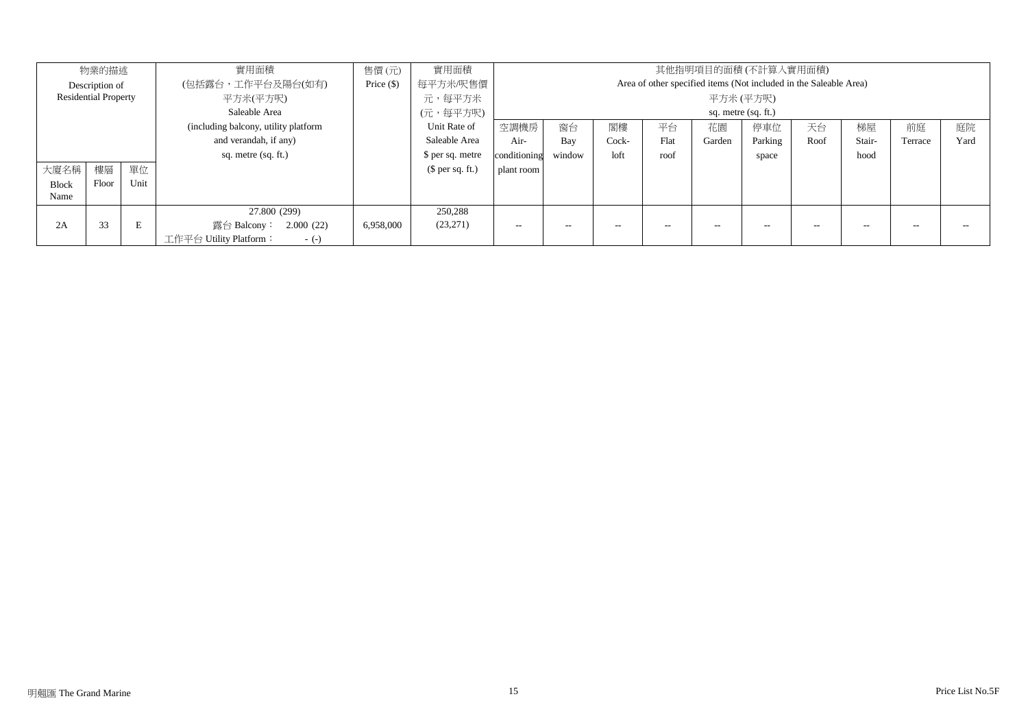| 物業的描述                       |       |      | 實用面積                                 | 售價(元)        | 實用面積             |                                                                   |        |       |      |        | 其他指明項目的面積 (不計算入實用面積) |      |        |         |      |
|-----------------------------|-------|------|--------------------------------------|--------------|------------------|-------------------------------------------------------------------|--------|-------|------|--------|----------------------|------|--------|---------|------|
| Description of              |       |      | (包括露台,工作平台及陽台(如有)                    | Price $(\$)$ | 每平方米/呎售價         | Area of other specified items (Not included in the Saleable Area) |        |       |      |        |                      |      |        |         |      |
| <b>Residential Property</b> |       |      | 平方米(平方呎)                             |              | 元,每平方米           | 平方米 (平方呎)                                                         |        |       |      |        |                      |      |        |         |      |
|                             |       |      | Saleable Area                        |              | (元,每平方呎)         | sq. metre (sq. ft.)                                               |        |       |      |        |                      |      |        |         |      |
|                             |       |      | (including balcony, utility platform |              | Unit Rate of     | 空調機房                                                              | 窗台     | 閣樓    | 平台   | 花園     | 停車位                  | 天台   | 梯屋     | 前庭      | 庭院   |
|                             |       |      | and verandah, if any)                |              | Saleable Area    | Air-                                                              | Bay    | Cock- | Flat | Garden | Parking              | Roof | Stair- | Terrace | Yard |
|                             |       |      | sq. metre (sq. ft.)                  |              | \$ per sq. metre | conditioning                                                      | window | loft  | roof |        | space                |      | hood   |         |      |
| 大廈名稱                        | 樓層    | 單位   |                                      |              | $$$ per sq. ft.) | plant room                                                        |        |       |      |        |                      |      |        |         |      |
| <b>Block</b>                | Floor | Unit |                                      |              |                  |                                                                   |        |       |      |        |                      |      |        |         |      |
| Name                        |       |      |                                      |              |                  |                                                                   |        |       |      |        |                      |      |        |         |      |
|                             |       |      | 27.800 (299)                         |              | 250,288          |                                                                   |        |       |      |        |                      |      |        |         |      |
| 2A                          | 33    | E    | 露台 Balcony: 2.000 (22)               | 6,958,000    | (23,271)         | $- -$                                                             | $- -$  | $-$   | $-$  | --     | $-$                  | --   |        |         |      |
|                             |       |      | 工作平台 Utility Platform:<br>$-(-)$     |              |                  |                                                                   |        |       |      |        |                      |      |        |         |      |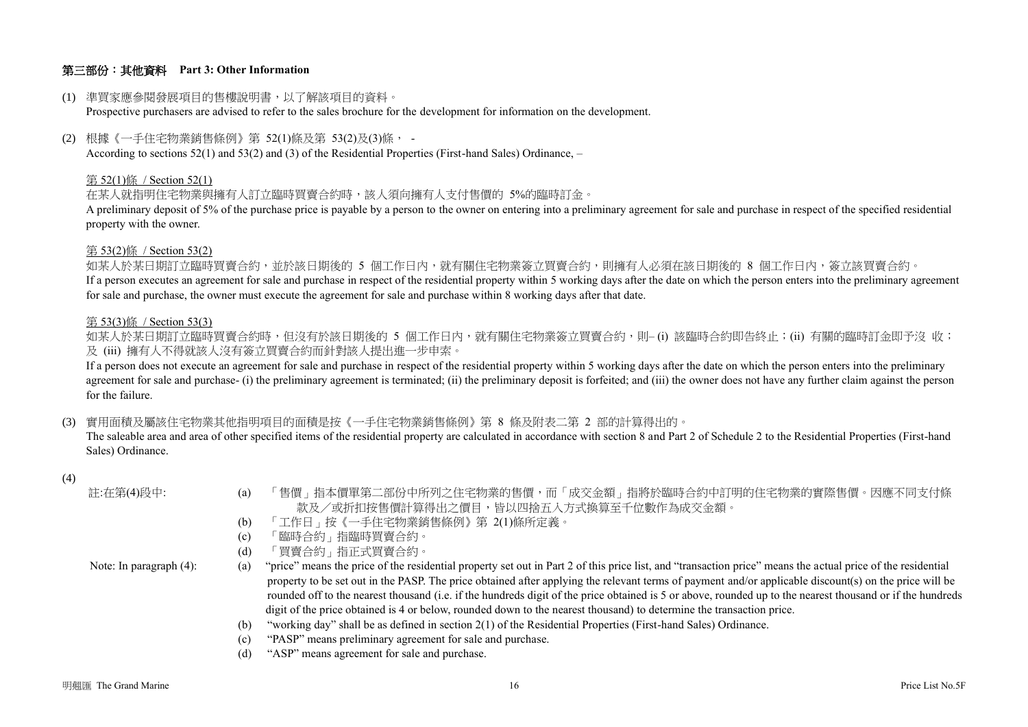## 第三部份:其他資料 **Part 3: Other Information**

#### (1) 準買家應參閱發展項目的售樓說明書,以了解該項目的資料。

Prospective purchasers are advised to refer to the sales brochure for the development for information on the development.

(2) 根據《一手住宅物業銷售條例》第 52(1)條及第 53(2)及(3)條, -

According to sections 52(1) and 53(2) and (3) of the Residential Properties (First-hand Sales) Ordinance, –

#### 第 52(1)條 / Section 52(1)

在某人就指明住宅物業與擁有人訂立臨時買賣合約時,該人須向擁有人支付售價的 5%的臨時訂金。

A preliminary deposit of 5% of the purchase price is payable by a person to the owner on entering into a preliminary agreement for sale and purchase in respect of the specified residential property with the owner.

#### 第 53(2)條 / Section 53(2)

如某人於某日期訂立臨時買賣合約,並於該日期後的 5 個工作日內,就有關住宅物業簽立買賣合約,則擁有人必須在該日期後的 8 個工作日內,簽立該買賣合約。 If a person executes an agreement for sale and purchase in respect of the residential property within 5 working days after the date on which the person enters into the preliminary agreement for sale and purchase, the owner must execute the agreement for sale and purchase within 8 working days after that date.

#### 第 53(3)條 / Section 53(3)

如某人於某日期訂立臨時買賣合約時,但沒有於該日期後的 5 個工作日內,就有關住宅物業簽立買賣合約,則– (i) 該臨時合約即告終止;(ii) 有關的臨時訂金即予沒 收; 及 (iii) 擁有人不得就該人沒有簽立買賣合約而針對該人提出進一步申索。

If a person does not execute an agreement for sale and purchase in respect of the residential property within 5 working days after the date on which the person enters into the preliminary agreement for sale and purchase- (i) the preliminary agreement is terminated; (ii) the preliminary deposit is forfeited; and (iii) the owner does not have any further claim against the person for the failure.

(3) 實用面積及屬該住宅物業其他指明項目的面積是按《一手住宅物業銷售條例》第 8 條及附表二第 2 部的計算得出的。

The saleable area and area of other specified items of the residential property are calculated in accordance with section 8 and Part 2 of Schedule 2 to the Residential Properties (First-hand Sales) Ordinance.

#### (4)

| 註:在第(4)段中:                 | 「售價」指本價單第二部份中所列之住宅物業的售價,而「成交金額」指將於臨時合約中訂明的住宅物業的實際售價。因應不同支付條<br>(a)<br>款及/或折扣按售價計算得出之價目,皆以四捨五入方式換算至千位數作為成交金額。                                                       |
|----------------------------|--------------------------------------------------------------------------------------------------------------------------------------------------------------------|
|                            | 「工作日」按《一手住宅物業銷售條例》第 2(1)條所定義。<br>(b)                                                                                                                               |
|                            | 「臨時合約」指臨時買賣合約。<br>(c)                                                                                                                                              |
|                            | 「買賣合約」指正式買賣合約。<br>(d)                                                                                                                                              |
| Note: In paragraph $(4)$ : | "price" means the price of the residential property set out in Part 2 of this price list, and "transaction price" means the actual price of the residential<br>(a) |
|                            | property to be set out in the PASP. The price obtained after applying the relevant terms of payment and/or applicable discount(s) on the price will be             |
|                            | rounded off to the nearest thousand (i.e. if the hundreds digit of the price obtained is 5 or above, rounded up to the nearest thousand or if the hundreds         |
|                            | digit of the price obtained is 4 or below, rounded down to the nearest thousand) to determine the transaction price.                                               |
|                            | "working day" shall be as defined in section 2(1) of the Residential Properties (First-hand Sales) Ordinance.<br>(b)                                               |
|                            | "PASP" means preliminary agreement for sale and purchase.<br>(c)                                                                                                   |
|                            | "ASP" means agreement for sale and purchase.<br>(d)                                                                                                                |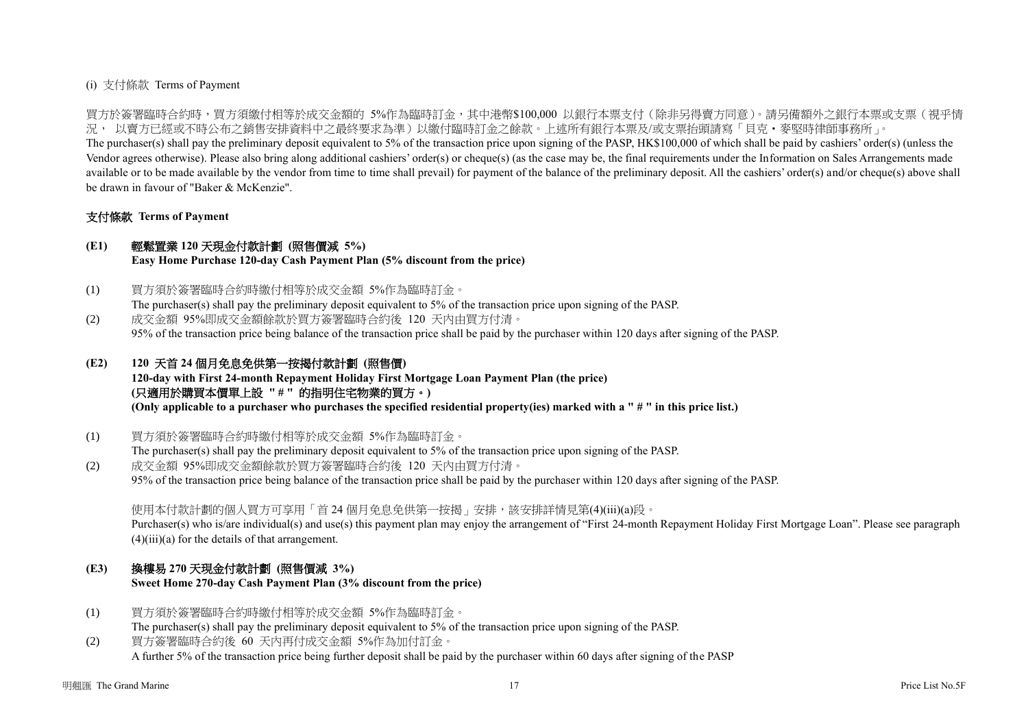## (i) 支付條款 Terms of Payment

買方於簽署臨時合約時,買方須繳付相等於成交金額的 5%作為臨時訂金,其中港幣\$100,000 以銀行本票支付(除非另得賣方同意)。請另備額外之銀行本票或支票(視乎情 況, 以賣方已經或不時公布之銷售安排資料中之最終要求為準)以繳付臨時訂金之餘款。上述所有銀行本票及/或支票抬頭請寫「貝克‧麥堅時律師事務所」。

The purchaser(s) shall pay the preliminary deposit equivalent to 5% of the transaction price upon signing of the PASP, HK\$100,000 of which shall be paid by cashiers' order(s) (unless the Vendor agrees otherwise). Please also bring along additional cashiers' order(s) or cheque(s) (as the case may be, the final requirements under the Information on Sales Arrangements made available or to be made available by the vendor from time to time shall prevail) for payment of the balance of the preliminary deposit. All the cashiers' order(s) and/or cheque(s) above shall be drawn in favour of "Baker & McKenzie".

## 支付條款 **Terms of Payment**

## **(E1)** 輕鬆置業 **120** 天現金付款計劃 **(**照售價減 **5%)**

**Easy Home Purchase 120-day Cash Payment Plan (5% discount from the price)**

- (1) 買方須於簽署臨時合約時繳付相等於成交金額 5%作為臨時訂金。 The purchaser(s) shall pay the preliminary deposit equivalent to 5% of the transaction price upon signing of the PASP.
- (2) 成交金額 95%即成交金額餘款於買方簽署臨時合約後 120 天內由買方付清。 95% of the transaction price being balance of the transaction price shall be paid by the purchaser within 120 days after signing of the PASP.

# **(E2) 120** 天首 **24** 個月免息免供第一按揭付款計劃 **(**照售價**)**

**120-day with First 24-month Repayment Holiday First Mortgage Loan Payment Plan (the price) (**只適用於購買本價單上設 **" # "** 的指明住宅物業的買方。**) (Only applicable to a purchaser who purchases the specified residential property(ies) marked with a " # " in this price list.)**

(1) 買方須於簽署臨時合約時繳付相等於成交金額 5%作為臨時訂金。

The purchaser(s) shall pay the preliminary deposit equivalent to 5% of the transaction price upon signing of the PASP. (2) 成交金額 95%即成交金額餘款於買方簽署臨時合約後 120 天內由買方付清。

95% of the transaction price being balance of the transaction price shall be paid by the purchaser within 120 days after signing of the PASP.

使用本付款計劃的個人買方可享用「首 24 個月免息免供第一按揭 」安排, 該安排詳情見第(4)(iii)(a)段。

Purchaser(s) who is/are individual(s) and use(s) this payment plan may enjoy the arrangement of "First 24-month Repayment Holiday First Mortgage Loan". Please see paragraph  $(4)(iii)(a)$  for the details of that arrangement.

# **(E3)** 換樓易 **270** 天現金付款計劃 **(**照售價減 **3%)**

**Sweet Home 270-day Cash Payment Plan (3% discount from the price)**

- (1) 買方須於簽署臨時合約時繳付相等於成交金額 5%作為臨時訂金。 The purchaser(s) shall pay the preliminary deposit equivalent to 5% of the transaction price upon signing of the PASP.
- (2) 買方簽署臨時合約後 60 天內再付成交金額 5%作為加付訂金。 A further 5% of the transaction price being further deposit shall be paid by the purchaser within 60 days after signing of the PASP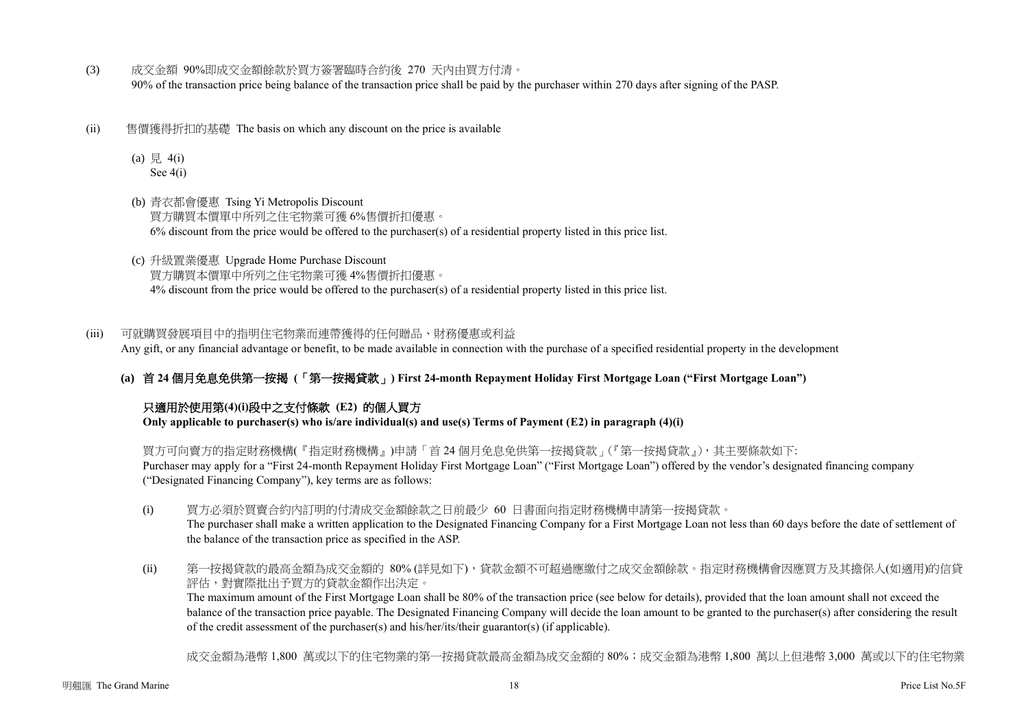- (3) 成交金額 90%即成交金額餘款於買方簽署臨時合約後 270 天內由買方付清。 90% of the transaction price being balance of the transaction price shall be paid by the purchaser within 270 days after signing of the PASP.
- (ii) 售價獲得折扣的基礎 The basis on which any discount on the price is available
	- (a)  $\frac{1}{7}$  4(i) See 4(i)
	- (b) 青衣都會優惠 Tsing Yi Metropolis Discount 買方購買本價單中所列之住宅物業可獲 6%售價折扣優惠。  $6\%$  discount from the price would be offered to the purchaser(s) of a residential property listed in this price list.
	- (c) 升級置業優惠 Upgrade Home Purchase Discount 買方購買本價單中所列之住宅物業可獲 4%售價折扣優惠。 4% discount from the price would be offered to the purchaser(s) of a residential property listed in this price list.

(iii) 可就購買發展項目中的指明住宅物業而連帶獲得的任何贈品、財務優惠或利益 Any gift, or any financial advantage or benefit, to be made available in connection with the purchase of a specified residential property in the development

**(a)** 首 **24** 個月免息免供第一按揭 **(**「第一按揭貸款」**) First 24-month Repayment Holiday First Mortgage Loan ("First Mortgage Loan")**

# 只適用於使用第**(4)(i)**段中之支付條款 **(E2)** 的個人買方

**Only applicable to purchaser(s) who is/are individual(s) and use(s) Terms of Payment (E2) in paragraph (4)(i)** 

買方可向賣方的指定財務機構(『指定財務機構』)申請「首 24 個月免息免供第一按揭貸款」(『第一按揭貸款』),其主要條款如下: Purchaser may apply for a "First 24-month Repayment Holiday First Mortgage Loan" ("First Mortgage Loan") offered by the vendor's designated financing company ("Designated Financing Company"), key terms are as follows:

- (i) 買方必須於買賣合約內訂明的付清成交金額餘款之日前最少 60 日書面向指定財務機構申請第一按揭貸款。 The purchaser shall make a written application to the Designated Financing Company for a First Mortgage Loan not less than 60 days before the date of settlement of the balance of the transaction price as specified in the ASP.
- (ii) 第一按揭貸款的最高金額為成交金額的 80% (詳見如下),貸款金額不可超過應繳付之成交金額餘款。指定財務機構會因應買方及其擔保人(如適用)的信貸 評估,對實際批出予買方的貸款金額作出決定。

The maximum amount of the First Mortgage Loan shall be 80% of the transaction price (see below for details), provided that the loan amount shall not exceed the balance of the transaction price payable. The Designated Financing Company will decide the loan amount to be granted to the purchaser(s) after considering the result of the credit assessment of the purchaser(s) and his/her/its/their guarantor(s) (if applicable).

成交金額為港幣 1,800 萬或以下的住宅物業的第一按揭貸款最高金額為成交金額的 80%;成交金額為港幣 1,800 萬以上但港幣 3,000 萬或以下的住宅物業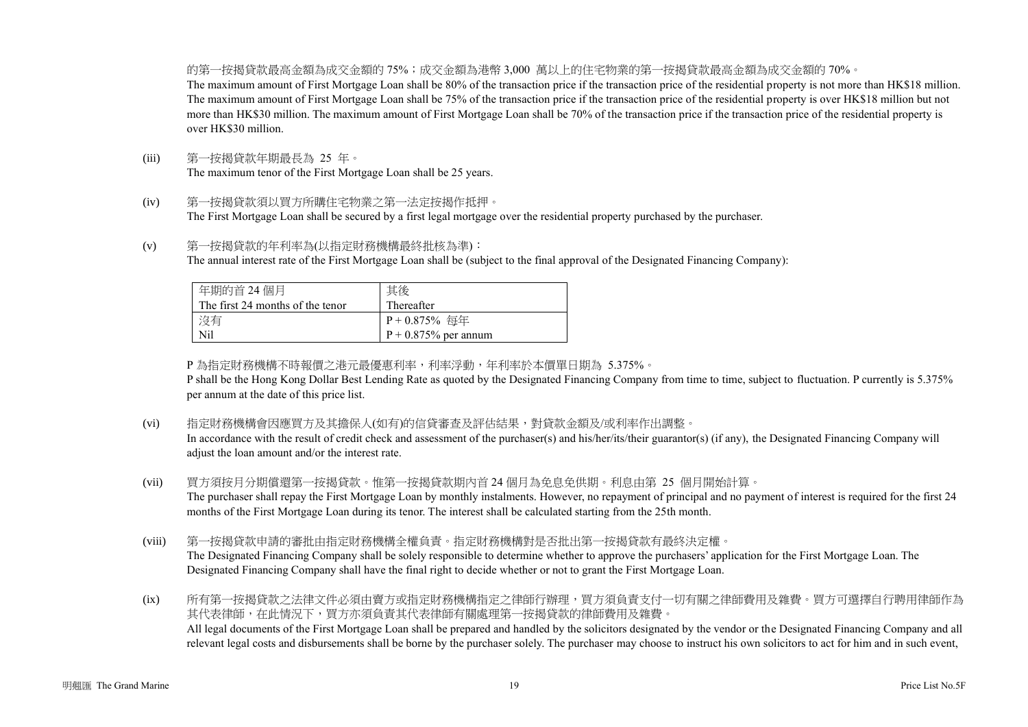的第一按揭貸款最高金額為成交金額的 75%;成交金額為港幣 3,000 萬以上的住宅物業的第一按揭貸款最高金額為成交金額的 70%。 The maximum amount of First Mortgage Loan shall be 80% of the transaction price if the transaction price of the residential property is not more than HK\$18 million. The maximum amount of First Mortgage Loan shall be 75% of the transaction price if the transaction price of the residential property is over HK\$18 million but not more than HK\$30 million. The maximum amount of First Mortgage Loan shall be 70% of the transaction price if the transaction price of the residential property is over HK\$30 million.

- (iii) 第一按揭貸款年期最長為 25 年。 The maximum tenor of the First Mortgage Loan shall be 25 years.
- (iv) 第一按揭貸款須以買方所購住宅物業之第一法定按揭作抵押。 The First Mortgage Loan shall be secured by a first legal mortgage over the residential property purchased by the purchaser.
- (v) 第一按揭貸款的年利率為(以指定財務機構最終批核為準): The annual interest rate of the First Mortgage Loan shall be (subject to the final approval of the Designated Financing Company):

| 年期的首 24 個月                       | 其後                      |
|----------------------------------|-------------------------|
| The first 24 months of the tenor | Thereafter              |
| 沒有                               | P + 0.875% 每年           |
| Nil                              | $P + 0.875\%$ per annum |

P 為指定財務機構不時報價之港元最優惠利率,利率浮動,年利率於本價單日期為 5.375%。

P shall be the Hong Kong Dollar Best Lending Rate as quoted by the Designated Financing Company from time to time, subject to fluctuation. P currently is 5.375% per annum at the date of this price list.

(vi) 指定財務機構會因應買方及其擔保人(如有)的信貸審查及評估結果,對貸款金額及/或利率作出調整。

In accordance with the result of credit check and assessment of the purchaser(s) and his/her/its/their guarantor(s) (if any), the Designated Financing Company will adjust the loan amount and/or the interest rate.

- (vii) 買方須按月分期償還第一按揭貸款。惟第一按揭貸款期內首 24 個月為免息免供期。利息由第 25 個月開始計算。 The purchaser shall repay the First Mortgage Loan by monthly instalments. However, no repayment of principal and no payment of interest is required for the first 24 months of the First Mortgage Loan during its tenor. The interest shall be calculated starting from the 25th month.
- (viii) 第一按揭貸款申請的審批由指定財務機構全權負責。指定財務機構對是否批出第一按揭貸款有最終決定權。 The Designated Financing Company shall be solely responsible to determine whether to approve the purchasers' application for the First Mortgage Loan. The Designated Financing Company shall have the final right to decide whether or not to grant the First Mortgage Loan.

(ix) 所有第一按揭貸款之法律文件必須由賣方或指定財務機構指定之律師行辦理,買方須負責支付一切有關之律師費用及雜費。買方可選擇自行聘用律師作為 其代表律師,在此情況下,買方亦須負責其代表律師有關處理第一按揭貸款的律師費用及雜費。 All legal documents of the First Mortgage Loan shall be prepared and handled by the solicitors designated by the vendor or the Designated Financing Company and all relevant legal costs and disbursements shall be borne by the purchaser solely. The purchaser may choose to instruct his own solicitors to act for him and in such event,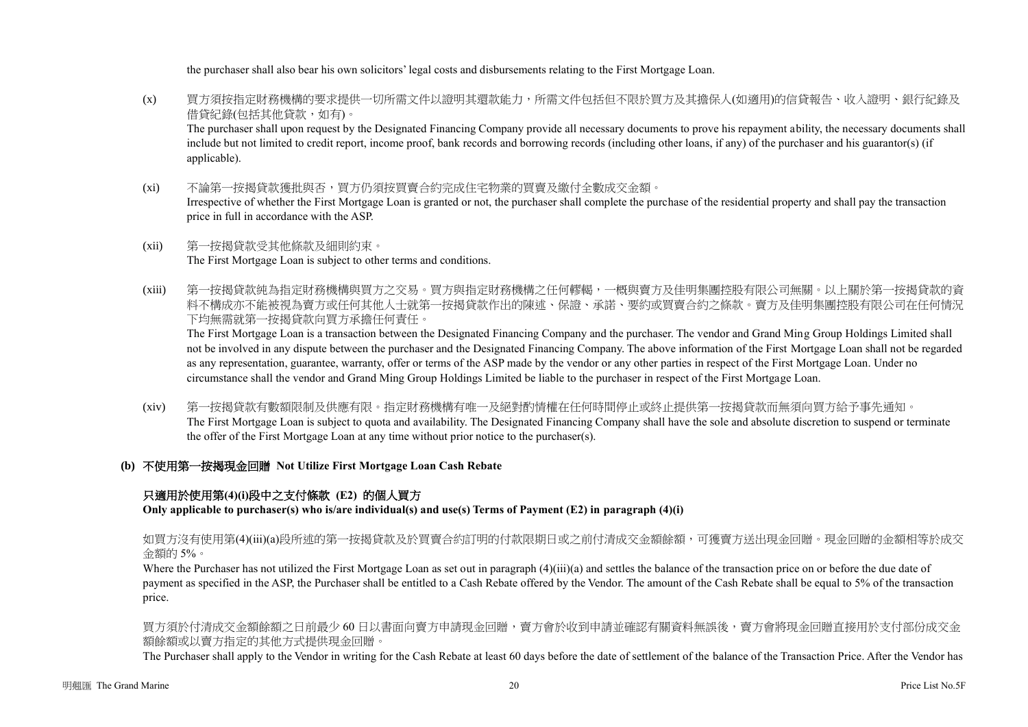the purchaser shall also bear his own solicitors' legal costs and disbursements relating to the First Mortgage Loan.

- (x) 買方須按指定財務機構的要求提供一切所需文件以證明其還款能力,所需文件包括但不限於買方及其擔保人(如適用)的信貸報告、收入證明、銀行紀錄及 借貸紀錄(包括其他貸款,如有)。 The purchaser shall upon request by the Designated Financing Company provide all necessary documents to prove his repayment ability, the necessary documents shall include but not limited to credit report, income proof, bank records and borrowing records (including other loans, if any) of the purchaser and his guarantor(s) (if applicable).
- (xi) 不論第一按揭貸款獲批與否,買方仍須按買賣合約完成住宅物業的買賣及繳付全數成交金額。 Irrespective of whether the First Mortgage Loan is granted or not, the purchaser shall complete the purchase of the residential property and shall pay the transaction price in full in accordance with the ASP.
- (xii) 第一按揭貸款受其他條款及細則約束。 The First Mortgage Loan is subject to other terms and conditions.
- (xiii) 第一按揭貸款純為指定財務機構與買方之交易。買方與指定財務機構之任何轇輵,一概與賣方及佳明集團控股有限公司無關。以上關於第一按揭貸款的資 料不構成亦不能被視為賣方或任何其他人士就第一按揭貸款作出的陳述、保證、承諾、要約或買賣合約之條款。賣方及佳明集團控股有限公司在任何情況 下均無需就第一按揭貸款向買方承擔任何責任。

The First Mortgage Loan is a transaction between the Designated Financing Company and the purchaser. The vendor and Grand Ming Group Holdings Limited shall not be involved in any dispute between the purchaser and the Designated Financing Company. The above information of the First Mortgage Loan shall not be regarded as any representation, guarantee, warranty, offer or terms of the ASP made by the vendor or any other parties in respect of the First Mortgage Loan. Under no circumstance shall the vendor and Grand Ming Group Holdings Limited be liable to the purchaser in respect of the First Mortgage Loan.

- (xiv) 第一按揭貸款有數額限制及供應有限。指定財務機構有唯一及絕對酌情權在任何時間停止或終止提供第一按揭貸款而無須向買方給予事先通知。 The First Mortgage Loan is subject to quota and availability. The Designated Financing Company shall have the sole and absolute discretion to suspend or terminate the offer of the First Mortgage Loan at any time without prior notice to the purchaser(s).
- **(b)** 不使用第一按揭現金回贈 **Not Utilize First Mortgage Loan Cash Rebate**

# 只適用於使用第**(4)(i)**段中之支付條款 **(E2)** 的個人買方

**Only applicable to purchaser(s) who is/are individual(s) and use(s) Terms of Payment (E2) in paragraph (4)(i)**

如買方沒有使用第(4)(iii)(a)段所述的第一按揭貸款及於買賣合約訂明的付款限期日或之前付清成交金額餘額,可獲賣方送出現金回贈。現金回贈的金額相等於成交 金額的 5%。

Where the Purchaser has not utilized the First Mortgage Loan as set out in paragraph (4)(iii)(a) and settles the balance of the transaction price on or before the due date of payment as specified in the ASP, the Purchaser shall be entitled to a Cash Rebate offered by the Vendor. The amount of the Cash Rebate shall be equal to 5% of the transaction price.

買方須於付清成交金額餘額之日前最少 60 日以書面向賣方申請現金回贈,賣方會於收到申請並確認有關資料無誤後,賣方會將現金回贈直接用於支付部份成交金 額餘額或以賣方指定的其他方式提供現金回贈。

The Purchaser shall apply to the Vendor in writing for the Cash Rebate at least 60 days before the date of settlement of the balance of the Transaction Price. After the Vendor has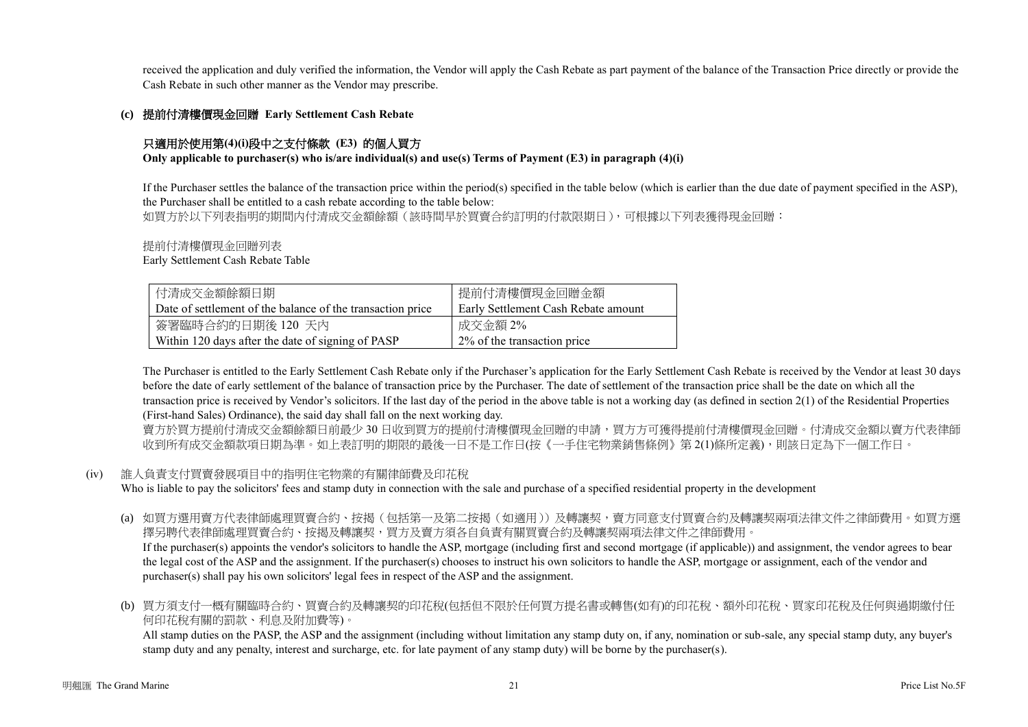received the application and duly verified the information, the Vendor will apply the Cash Rebate as part payment of the balance of the Transaction Price directly or provide the Cash Rebate in such other manner as the Vendor may prescribe.

### **(c)** 提前付清樓價現金回贈 **Early Settlement Cash Rebate**

## 只適用於使用第**(4)(i)**段中之支付條款 **(E3)** 的個人買方

**Only applicable to purchaser(s) who is/are individual(s) and use(s) Terms of Payment (E3) in paragraph (4)(i)**

If the Purchaser settles the balance of the transaction price within the period(s) specified in the table below (which is earlier than the due date of payment specified in the ASP), the Purchaser shall be entitled to a cash rebate according to the table below:

如買方於以下列表指明的期間内付清成交金額餘額(該時間早於買賣合約訂明的付款限期日),可根據以下列表獲得現金回贈:

提前付清樓價現金回贈列表

Early Settlement Cash Rebate Table

| 付清成交金額餘額日期                                                 | 提前付清樓價現金回贈金額                        |
|------------------------------------------------------------|-------------------------------------|
| Date of settlement of the balance of the transaction price | Early Settlement Cash Rebate amount |
| 簽署臨時合約的日期後 120 天內                                          | 成交金額 2%                             |
| Within 120 days after the date of signing of PASP          | 2\% of the transaction price        |

The Purchaser is entitled to the Early Settlement Cash Rebate only if the Purchaser's application for the Early Settlement Cash Rebate is received by the Vendor at least 30 days before the date of early settlement of the balance of transaction price by the Purchaser. The date of settlement of the transaction price shall be the date on which all the transaction price is received by Vendor's solicitors. If the last day of the period in the above table is not a working day (as defined in section 2(1) of the Residential Properties (First-hand Sales) Ordinance), the said day shall fall on the next working day.

賣方於買方提前付清成交金額餘額日前最少 30 日收到買方的提前付清樓價現金回贈的申請,買方方可獲得提前付清樓價現金回贈。付清成交金額以賣方代表律師 收到所有成交金額款項日期為準。如上表訂明的期限的最後一日不是工作日(按《一手住宅物業銷售條例》第 2(1)條所定義),則該日定為下一個工作日。

#### (iv) 誰人負責支付買賣發展項目中的指明住宅物業的有關律師費及印花稅

Who is liable to pay the solicitors' fees and stamp duty in connection with the sale and purchase of a specified residential property in the development

- (a) 如買方選用賣方代表律師處理買賣合約、按揭(包括第一及第二按揭(如適用))及轉讓契,賣方同意支付買賣合約及轉讓契兩項法律文件之律師費用。如買方選 擇另聘代表律師處理買賣合約、按揭及轉讓契,買方及賣方須各自負責有關買賣合約及轉讓契兩項法律文件之律師費用。 If the purchaser(s) appoints the vendor's solicitors to handle the ASP, mortgage (including first and second mortgage (if applicable)) and assignment, the vendor agrees to bear the legal cost of the ASP and the assignment. If the purchaser(s) chooses to instruct his own solicitors to handle the ASP, mortgage or assignment, each of the vendor and purchaser(s) shall pay his own solicitors' legal fees in respect of the ASP and the assignment.
- (b) 買方須支付一概有關臨時合約、買賣合約及轉讓契的印花稅(包括但不限於任何買方提名書或轉售(如有)的印花稅、額外印花稅、買家印花稅及任何與過期繳付任 何印花稅有關的罰款、利息及附加費等)。

All stamp duties on the PASP, the ASP and the assignment (including without limitation any stamp duty on, if any, nomination or sub-sale, any special stamp duty, any buyer's stamp duty and any penalty, interest and surcharge, etc. for late payment of any stamp duty) will be borne by the purchaser(s).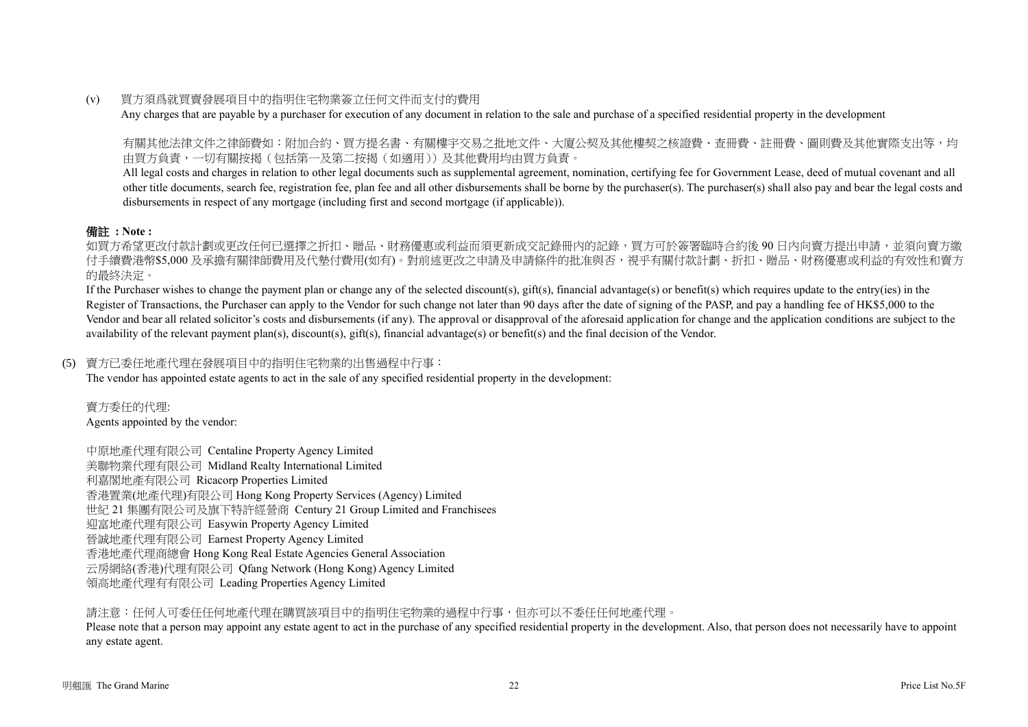### (v) 買方須爲就買賣發展項目中的指明住宅物業簽立任何文件而支付的費用

Any charges that are payable by a purchaser for execution of any document in relation to the sale and purchase of a specified residential property in the development

有關其他法律文件之律師費如:附加合約、買方提名書、有關樓宇交易之批地文件、大廈公契及其他樓契之核證費、查冊費、註冊費、圖則費及其他實際支出等,均 由買方負責,一切有關按揭(包括第一及第二按揭(如適用))及其他費用均由買方負責。

All legal costs and charges in relation to other legal documents such as supplemental agreement, nomination, certifying fee for Government Lease, deed of mutual covenant and all other title documents, search fee, registration fee, plan fee and all other disbursements shall be borne by the purchaser(s). The purchaser(s) shall also pay and bear the legal costs and disbursements in respect of any mortgage (including first and second mortgage (if applicable)).

# 備註 **: Note :**

如買方希望更改付款計劃或更改任何已選擇之折扣、贈品、財務優惠或利益而須更新成交記錄冊內的記錄,買方可於簽署臨時合約後 90 日内向賣方提出申請,並須向賣方繳 付手續費港幣\$5,000 及承擔有關律師費用及代墊付費用(如有)。對前述更改之申請及申請條件的批准與否,視乎有關付款計劃、折扣、贈品、財務優惠或利益的有效性和賣方 的最終決定。

If the Purchaser wishes to change the payment plan or change any of the selected discount(s), gift(s), financial advantage(s) or benefit(s) which requires update to the entry(ies) in the Register of Transactions, the Purchaser can apply to the Vendor for such change not later than 90 days after the date of signing of the PASP, and pay a handling fee of HK\$5,000 to the Vendor and bear all related solicitor's costs and disbursements (if any). The approval or disapproval of the aforesaid application for change and the application conditions are subject to the availability of the relevant payment plan(s), discount(s), gift(s), financial advantage(s) or benefit(s) and the final decision of the Vendor.

### (5) 賣方已委任地產代理在發展項目中的指明住宅物業的出售過程中行事:

The vendor has appointed estate agents to act in the sale of any specified residential property in the development:

賣方委任的代理: Agents appointed by the vendor:

中原地產代理有限公司 Centaline Property Agency Limited 美聯物業代理有限公司 Midland Realty International Limited 利嘉閣地產有限公司 Ricacorp Properties Limited 香港置業(地產代理)有限公司 Hong Kong Property Services (Agency) Limited 世紀 21 集團有限公司及旗下特許經營商 Century 21 Group Limited and Franchisees 迎富地產代理有限公司 Easywin Property Agency Limited 晉誠地產代理有限公司 Earnest Property Agency Limited 香港地產代理商總會 Hong Kong Real Estate Agencies General Association 云房網絡(香港)代理有限公司 Qfang Network (Hong Kong) Agency Limited 領高地產代理有有限公司 Leading Properties Agency Limited

請注意:任何人可委任任何地產代理在購買該項目中的指明住宅物業的過程中行事,但亦可以不委任任何地產代理。

Please note that a person may appoint any estate agent to act in the purchase of any specified residential property in the development. Also, that person does not necessarily have to appoint any estate agent.